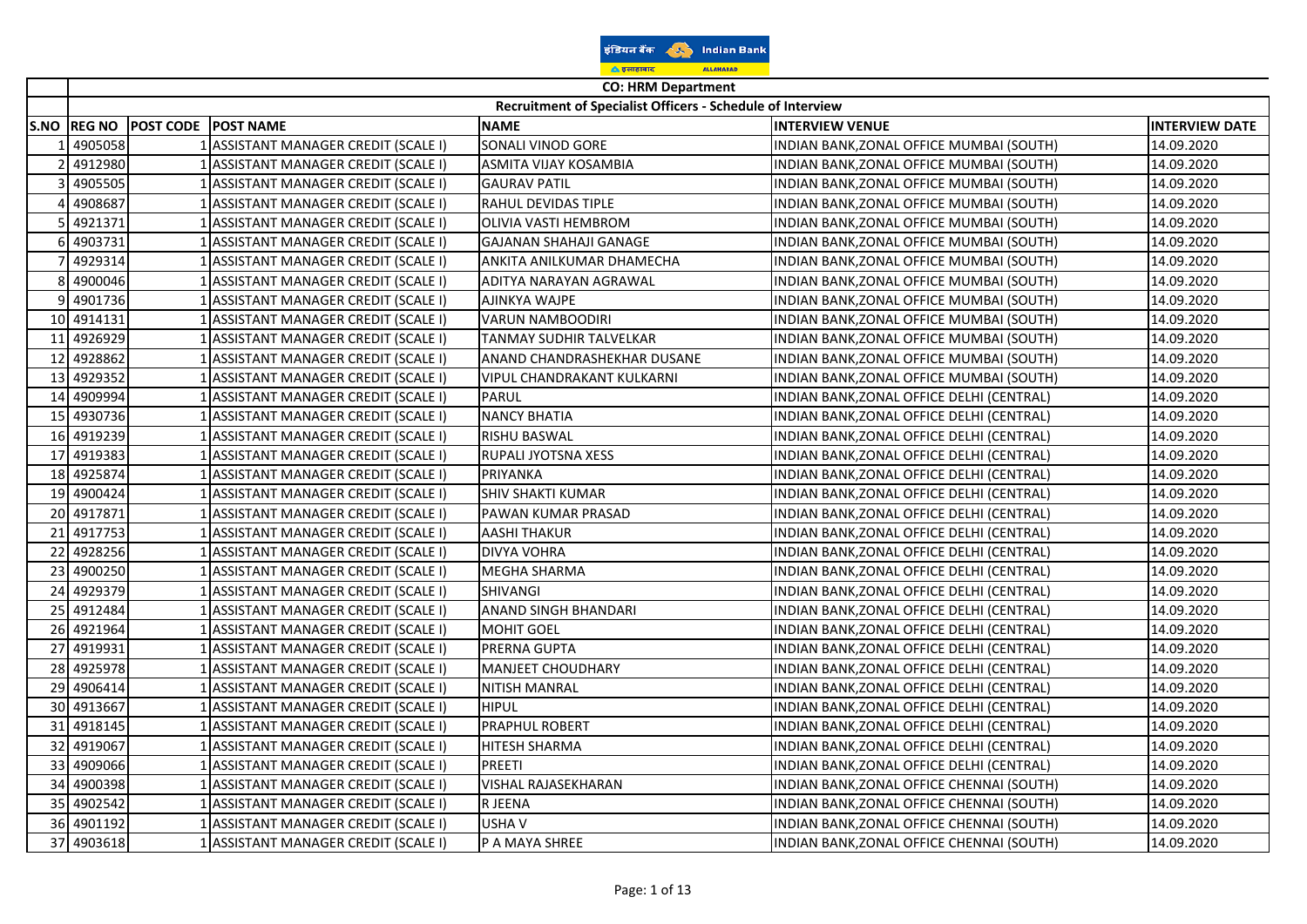| डडियन बैंक | <b>Indian Bank</b> |
|------------|--------------------|
| ं इलाहाबाद | <b>ALLAHABAD</b>   |

|                 | <b>CO: HRM Department</b> |                  |                                           |                                                            |                                           |                       |
|-----------------|---------------------------|------------------|-------------------------------------------|------------------------------------------------------------|-------------------------------------------|-----------------------|
|                 |                           |                  |                                           | Recruitment of Specialist Officers - Schedule of Interview |                                           |                       |
| <b>S.NO</b>     | <b>REG NO</b>             | <b>POST CODE</b> | <b>POST NAME</b>                          | <b>NAME</b>                                                | <b>INTERVIEW VENUE</b>                    | <b>INTERVIEW DATE</b> |
|                 | 4905058                   |                  | 1 ASSISTANT MANAGER CREDIT (SCALE I)      | SONALI VINOD GORE                                          | INDIAN BANK, ZONAL OFFICE MUMBAI (SOUTH)  | 14.09.2020            |
|                 | 4912980                   |                  | ASSISTANT MANAGER CREDIT (SCALE I)        | ASMITA VIJAY KOSAMBIA                                      | INDIAN BANK, ZONAL OFFICE MUMBAI (SOUTH)  | 14.09.2020            |
|                 | 4905505                   |                  | ASSISTANT MANAGER CREDIT (SCALE I)        | <b>GAURAV PATIL</b>                                        | INDIAN BANK,ZONAL OFFICE MUMBAI (SOUTH)   | 14.09.2020            |
|                 | 4908687                   |                  | ASSISTANT MANAGER CREDIT (SCALE I)        | RAHUL DEVIDAS TIPLE                                        | INDIAN BANK, ZONAL OFFICE MUMBAI (SOUTH)  | 14.09.2020            |
|                 | 4921371                   |                  | ASSISTANT MANAGER CREDIT (SCALE I)        | OLIVIA VASTI HEMBROM                                       | INDIAN BANK, ZONAL OFFICE MUMBAI (SOUTH)  | 14.09.2020            |
|                 | 4903731                   |                  | ASSISTANT MANAGER CREDIT (SCALE I)        | <b>GAJANAN SHAHAJI GANAGE</b>                              | INDIAN BANK, ZONAL OFFICE MUMBAI (SOUTH)  | 14.09.2020            |
|                 | 4929314                   |                  | ASSISTANT MANAGER CREDIT (SCALE I)        | ANKITA ANILKUMAR DHAMECHA                                  | INDIAN BANK, ZONAL OFFICE MUMBAI (SOUTH)  | 14.09.2020            |
|                 | 4900046                   |                  | ASSISTANT MANAGER CREDIT (SCALE I)        | ADITYA NARAYAN AGRAWAL                                     | INDIAN BANK, ZONAL OFFICE MUMBAI (SOUTH)  | 14.09.2020            |
|                 | 4901736                   |                  | ASSISTANT MANAGER CREDIT (SCALE I)        | AJINKYA WAJPE                                              | INDIAN BANK, ZONAL OFFICE MUMBAI (SOUTH)  | 14.09.2020            |
|                 | 10 4914131                |                  | ASSISTANT MANAGER CREDIT (SCALE I)        | VARUN NAMBOODIRI                                           | INDIAN BANK,ZONAL OFFICE MUMBAI (SOUTH)   | 14.09.2020            |
|                 | 11 4926929                |                  | ASSISTANT MANAGER CREDIT (SCALE I)        | TANMAY SUDHIR TALVELKAR                                    | INDIAN BANK,ZONAL OFFICE MUMBAI (SOUTH)   | 14.09.2020            |
| 12              | 4928862                   |                  | ASSISTANT MANAGER CREDIT (SCALE I)        | ANAND CHANDRASHEKHAR DUSANE                                | INDIAN BANK, ZONAL OFFICE MUMBAI (SOUTH)  | 14.09.2020            |
| 13              | 4929352                   |                  | ASSISTANT MANAGER CREDIT (SCALE I)        | VIPUL CHANDRAKANT KULKARNI                                 | INDIAN BANK, ZONAL OFFICE MUMBAI (SOUTH)  | 14.09.2020            |
|                 | 14 4909994                |                  | ASSISTANT MANAGER CREDIT (SCALE I)        | <b>PARUL</b>                                               | INDIAN BANK, ZONAL OFFICE DELHI (CENTRAL) | 14.09.2020            |
|                 | 15 4930736                |                  | <b>ASSISTANT MANAGER CREDIT (SCALE I)</b> | <b>NANCY BHATIA</b>                                        | INDIAN BANK, ZONAL OFFICE DELHI (CENTRAL) | 14.09.2020            |
| 16 <sup>l</sup> | 4919239                   |                  | ASSISTANT MANAGER CREDIT (SCALE I)        | <b>RISHU BASWAL</b>                                        | INDIAN BANK, ZONAL OFFICE DELHI (CENTRAL) | 14.09.2020            |
| 17              | 4919383                   |                  | ASSISTANT MANAGER CREDIT (SCALE I)        | RUPALI JYOTSNA XESS                                        | INDIAN BANK,ZONAL OFFICE DELHI (CENTRAL)  | 14.09.2020            |
|                 | 18 4925874                |                  | ASSISTANT MANAGER CREDIT (SCALE I)        | PRIYANKA                                                   | INDIAN BANK,ZONAL OFFICE DELHI (CENTRAL)  | 14.09.2020            |
|                 | 19 4900424                |                  | ASSISTANT MANAGER CREDIT (SCALE I)        | <b>SHIV SHAKTI KUMAR</b>                                   | INDIAN BANK,ZONAL OFFICE DELHI (CENTRAL)  | 14.09.2020            |
|                 | 20 4917871                |                  | <b>ASSISTANT MANAGER CREDIT (SCALE I)</b> | PAWAN KUMAR PRASAD                                         | INDIAN BANK, ZONAL OFFICE DELHI (CENTRAL) | 14.09.2020            |
|                 | 21 4917753                |                  | ASSISTANT MANAGER CREDIT (SCALE I)        | <b>AASHI THAKUR</b>                                        | INDIAN BANK, ZONAL OFFICE DELHI (CENTRAL) | 14.09.2020            |
|                 | 22 4928256                |                  | 1 ASSISTANT MANAGER CREDIT (SCALE I)      | DIVYA VOHRA                                                | INDIAN BANK, ZONAL OFFICE DELHI (CENTRAL) | 14.09.2020            |
| 23              | 4900250                   |                  | ASSISTANT MANAGER CREDIT (SCALE I)        | MEGHA SHARMA                                               | INDIAN BANK, ZONAL OFFICE DELHI (CENTRAL) | 14.09.2020            |
|                 | 24 4929379                |                  | ASSISTANT MANAGER CREDIT (SCALE I)        | <b>SHIVANGI</b>                                            | INDIAN BANK,ZONAL OFFICE DELHI (CENTRAL)  | 14.09.2020            |
|                 | 25 4912484                |                  | ASSISTANT MANAGER CREDIT (SCALE I)        | <b>ANAND SINGH BHANDARI</b>                                | INDIAN BANK,ZONAL OFFICE DELHI (CENTRAL)  | 14.09.2020            |
|                 | 26 4921964                |                  | ASSISTANT MANAGER CREDIT (SCALE I)        | <b>MOHIT GOEL</b>                                          | INDIAN BANK,ZONAL OFFICE DELHI (CENTRAL)  | 14.09.2020            |
| 27              | 4919931                   |                  | <b>ASSISTANT MANAGER CREDIT (SCALE I)</b> | PRERNA GUPTA                                               | INDIAN BANK,ZONAL OFFICE DELHI (CENTRAL)  | 14.09.2020            |
|                 | 28 4925978                |                  | ASSISTANT MANAGER CREDIT (SCALE I)        | <b>MANJEET CHOUDHARY</b>                                   | INDIAN BANK, ZONAL OFFICE DELHI (CENTRAL) | 14.09.2020            |
|                 | 29 4906414                |                  | ASSISTANT MANAGER CREDIT (SCALE I)        | <b>NITISH MANRAL</b>                                       | INDIAN BANK, ZONAL OFFICE DELHI (CENTRAL) | 14.09.2020            |
| 30 <sup>l</sup> | 4913667                   |                  | ASSISTANT MANAGER CREDIT (SCALE I)        | <b>HIPUL</b>                                               | INDIAN BANK, ZONAL OFFICE DELHI (CENTRAL) | 14.09.2020            |
| 31              | 4918145                   |                  | ASSISTANT MANAGER CREDIT (SCALE I)        | <b>PRAPHUL ROBERT</b>                                      | INDIAN BANK,ZONAL OFFICE DELHI (CENTRAL)  | 14.09.2020            |
|                 | 32 4919067                |                  | ASSISTANT MANAGER CREDIT (SCALE I)        | HITESH SHARMA                                              | INDIAN BANK,ZONAL OFFICE DELHI (CENTRAL)  | 14.09.2020            |
|                 | 33 4909066                |                  | ASSISTANT MANAGER CREDIT (SCALE I)        | <b>PREETI</b>                                              | INDIAN BANK,ZONAL OFFICE DELHI (CENTRAL)  | 14.09.2020            |
| 34              | 4900398                   |                  | ASSISTANT MANAGER CREDIT (SCALE I)        | VISHAL RAJASEKHARAN                                        | INDIAN BANK, ZONAL OFFICE CHENNAI (SOUTH) | 14.09.2020            |
|                 | 35 4902542                |                  | ASSISTANT MANAGER CREDIT (SCALE I)        | R JEENA                                                    | INDIAN BANK, ZONAL OFFICE CHENNAI (SOUTH) | 14.09.2020            |
|                 | 36 4901192                |                  | 1 ASSISTANT MANAGER CREDIT (SCALE I)      | USHA V                                                     | INDIAN BANK, ZONAL OFFICE CHENNAI (SOUTH) | 14.09.2020            |
|                 | 37 4903618                |                  | <b>ASSISTANT MANAGER CREDIT (SCALE I)</b> | P A MAYA SHREE                                             | INDIAN BANK, ZONAL OFFICE CHENNAI (SOUTH) | 14.09.2020            |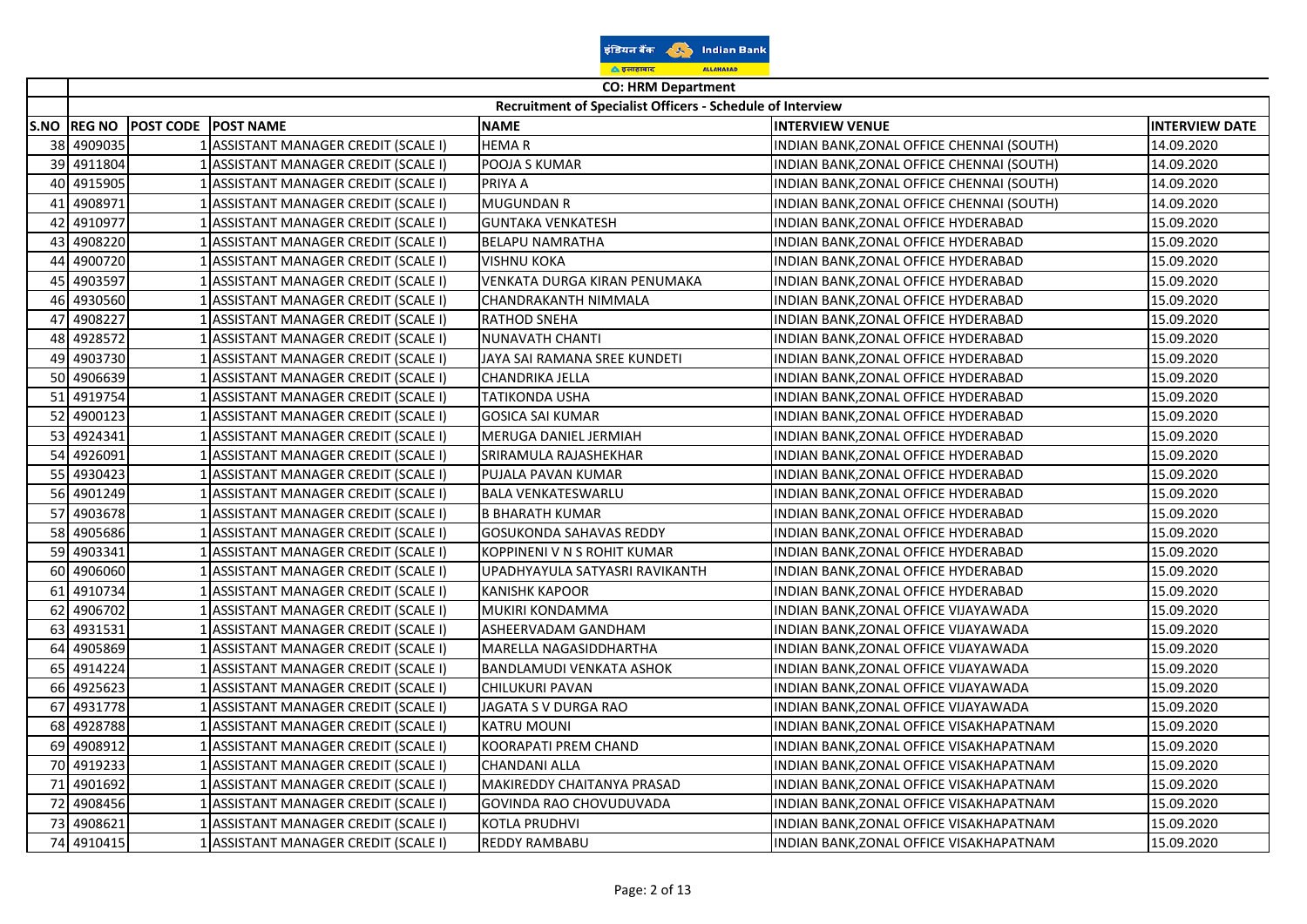| इंडियन बैंक        |  | <b>Indian Bank</b> |  |
|--------------------|--|--------------------|--|
| <u>ि इलाहाबाद</u>  |  | <b>ALLAHABAD</b>   |  |
| CO: UDM Donartmant |  |                    |  |

|    | <b>CO: HRM Department</b> |                            |                                      |                                                            |                                           |                       |
|----|---------------------------|----------------------------|--------------------------------------|------------------------------------------------------------|-------------------------------------------|-----------------------|
|    |                           |                            |                                      | Recruitment of Specialist Officers - Schedule of Interview |                                           |                       |
|    | S.NO REG NO               | <b>POST CODE POST NAME</b> |                                      | <b>NAME</b>                                                | <b>INTERVIEW VENUE</b>                    | <b>INTERVIEW DATE</b> |
|    | 38 4909035                |                            | 1 ASSISTANT MANAGER CREDIT (SCALE I) | <b>HEMAR</b>                                               | INDIAN BANK, ZONAL OFFICE CHENNAI (SOUTH) | 14.09.2020            |
| 39 | 4911804                   |                            | 1 ASSISTANT MANAGER CREDIT (SCALE I) | POOJA S KUMAR                                              | INDIAN BANK, ZONAL OFFICE CHENNAI (SOUTH) | 14.09.2020            |
|    | 40 4915905                |                            | 1 ASSISTANT MANAGER CREDIT (SCALE I) | PRIYA A                                                    | INDIAN BANK, ZONAL OFFICE CHENNAI (SOUTH) | 14.09.2020            |
| 41 | 4908971                   |                            | ASSISTANT MANAGER CREDIT (SCALE I)   | <b>MUGUNDAN R</b>                                          | INDIAN BANK, ZONAL OFFICE CHENNAI (SOUTH) | 14.09.2020            |
| 42 | 4910977                   |                            | 1 ASSISTANT MANAGER CREDIT (SCALE I) | <b>GUNTAKA VENKATESH</b>                                   | INDIAN BANK, ZONAL OFFICE HYDERABAD       | 15.09.2020            |
|    | 43 4908220                |                            | 1 ASSISTANT MANAGER CREDIT (SCALE I) | <b>BELAPU NAMRATHA</b>                                     | INDIAN BANK, ZONAL OFFICE HYDERABAD       | 15.09.2020            |
|    | 44 4900720                |                            | 1 ASSISTANT MANAGER CREDIT (SCALE I) | <b>VISHNU KOKA</b>                                         | INDIAN BANK, ZONAL OFFICE HYDERABAD       | 15.09.2020            |
|    | 45 4903597                |                            | 1 ASSISTANT MANAGER CREDIT (SCALE I) | VENKATA DURGA KIRAN PENUMAKA                               | INDIAN BANK, ZONAL OFFICE HYDERABAD       | 15.09.2020            |
| 46 | 4930560                   |                            | 1 ASSISTANT MANAGER CREDIT (SCALE I) | CHANDRAKANTH NIMMALA                                       | INDIAN BANK, ZONAL OFFICE HYDERABAD       | 15.09.2020            |
| 47 | 4908227                   |                            | 1 ASSISTANT MANAGER CREDIT (SCALE I) | RATHOD SNEHA                                               | INDIAN BANK, ZONAL OFFICE HYDERABAD       | 15.09.2020            |
| 48 | 4928572                   |                            | ASSISTANT MANAGER CREDIT (SCALE I)   | NUNAVATH CHANTI                                            | INDIAN BANK, ZONAL OFFICE HYDERABAD       | 15.09.2020            |
|    | 49 4903730                |                            | ASSISTANT MANAGER CREDIT (SCALE I)   | JAYA SAI RAMANA SREE KUNDETI                               | INDIAN BANK, ZONAL OFFICE HYDERABAD       | 15.09.2020            |
|    | 50 4906639                |                            | 1 ASSISTANT MANAGER CREDIT (SCALE I) | CHANDRIKA JELLA                                            | INDIAN BANK, ZONAL OFFICE HYDERABAD       | 15.09.2020            |
|    | 51 4919754                |                            | 1 ASSISTANT MANAGER CREDIT (SCALE I) | <b>TATIKONDA USHA</b>                                      | INDIAN BANK, ZONAL OFFICE HYDERABAD       | 15.09.2020            |
| 52 | 4900123                   |                            | 1 ASSISTANT MANAGER CREDIT (SCALE I) | <b>GOSICA SAI KUMAR</b>                                    | INDIAN BANK, ZONAL OFFICE HYDERABAD       | 15.09.2020            |
|    | 53 4924341                |                            | 1 ASSISTANT MANAGER CREDIT (SCALE I) | MERUGA DANIEL JERMIAH                                      | INDIAN BANK, ZONAL OFFICE HYDERABAD       | 15.09.2020            |
|    | 54 4926091                |                            | ASSISTANT MANAGER CREDIT (SCALE I)   | SRIRAMULA RAJASHEKHAR                                      | INDIAN BANK, ZONAL OFFICE HYDERABAD       | 15.09.2020            |
|    | 55 4930423                |                            | ASSISTANT MANAGER CREDIT (SCALE I)   | PUJALA PAVAN KUMAR                                         | INDIAN BANK, ZONAL OFFICE HYDERABAD       | 15.09.2020            |
|    | 56 4901249                |                            | ASSISTANT MANAGER CREDIT (SCALE I)   | <b>BALA VENKATESWARLU</b>                                  | INDIAN BANK, ZONAL OFFICE HYDERABAD       | 15.09.2020            |
|    | 57 4903678                |                            | 1 ASSISTANT MANAGER CREDIT (SCALE I) | <b>B BHARATH KUMAR</b>                                     | INDIAN BANK, ZONAL OFFICE HYDERABAD       | 15.09.2020            |
|    | 58 4905686                |                            | 1 ASSISTANT MANAGER CREDIT (SCALE I) | GOSUKONDA SAHAVAS REDDY                                    | INDIAN BANK, ZONAL OFFICE HYDERABAD       | 15.09.2020            |
|    | 59 4903341                |                            | 1 ASSISTANT MANAGER CREDIT (SCALE I) | KOPPINENI V N S ROHIT KUMAR                                | INDIAN BANK, ZONAL OFFICE HYDERABAD       | 15.09.2020            |
|    | 60 4906060                |                            | 1 ASSISTANT MANAGER CREDIT (SCALE I) | UPADHYAYULA SATYASRI RAVIKANTH                             | INDIAN BANK, ZONAL OFFICE HYDERABAD       | 15.09.2020            |
| 61 | 4910734                   |                            | 1 ASSISTANT MANAGER CREDIT (SCALE I) | <b>KANISHK KAPOOR</b>                                      | INDIAN BANK, ZONAL OFFICE HYDERABAD       | 15.09.2020            |
|    | 62 4906702                |                            | 1 ASSISTANT MANAGER CREDIT (SCALE I) | MUKIRI KONDAMMA                                            | INDIAN BANK, ZONAL OFFICE VIJAYAWADA      | 15.09.2020            |
|    | 63 4931531                |                            | ASSISTANT MANAGER CREDIT (SCALE I)   | ASHEERVADAM GANDHAM                                        | INDIAN BANK,ZONAL OFFICE VIJAYAWADA       | 15.09.2020            |
|    | 64 4905869                |                            | 1 ASSISTANT MANAGER CREDIT (SCALE I) | MARELLA NAGASIDDHARTHA                                     | INDIAN BANK, ZONAL OFFICE VIJAYAWADA      | 15.09.2020            |
|    | 65 4914224                |                            | 1 ASSISTANT MANAGER CREDIT (SCALE I) | BANDLAMUDI VENKATA ASHOK                                   | INDIAN BANK, ZONAL OFFICE VIJAYAWADA      | 15.09.2020            |
|    | 66 4925623                |                            | 1 ASSISTANT MANAGER CREDIT (SCALE I) | CHILUKURI PAVAN                                            | INDIAN BANK, ZONAL OFFICE VIJAYAWADA      | 15.09.2020            |
| 67 | 4931778                   |                            | 1 ASSISTANT MANAGER CREDIT (SCALE I) | JAGATA S V DURGA RAO                                       | INDIAN BANK, ZONAL OFFICE VIJAYAWADA      | 15.09.2020            |
|    | 68 4928788                |                            | 1 ASSISTANT MANAGER CREDIT (SCALE I) | <b>KATRU MOUNI</b>                                         | INDIAN BANK, ZONAL OFFICE VISAKHAPATNAM   | 15.09.2020            |
|    | 69 4908912                |                            | 1 ASSISTANT MANAGER CREDIT (SCALE I) | KOORAPATI PREM CHAND                                       | INDIAN BANK, ZONAL OFFICE VISAKHAPATNAM   | 15.09.2020            |
|    | 70 4919233                |                            | ASSISTANT MANAGER CREDIT (SCALE I)   | CHANDANI ALLA                                              | INDIAN BANK,ZONAL OFFICE VISAKHAPATNAM    | 15.09.2020            |
|    | 71 4901692                |                            | 1 ASSISTANT MANAGER CREDIT (SCALE I) | MAKIREDDY CHAITANYA PRASAD                                 | INDIAN BANK, ZONAL OFFICE VISAKHAPATNAM   | 15.09.2020            |
|    | 72 4908456                |                            | 1 ASSISTANT MANAGER CREDIT (SCALE I) | GOVINDA RAO CHOVUDUVADA                                    | INDIAN BANK, ZONAL OFFICE VISAKHAPATNAM   | 15.09.2020            |
|    | 73 4908621                |                            | 1 ASSISTANT MANAGER CREDIT (SCALE I) | KOTLA PRUDHVI                                              | INDIAN BANK, ZONAL OFFICE VISAKHAPATNAM   | 15.09.2020            |
|    | 74 4910415                |                            | 1 ASSISTANT MANAGER CREDIT (SCALE I) | <b>REDDY RAMBABU</b>                                       | INDIAN BANK, ZONAL OFFICE VISAKHAPATNAM   | 15.09.2020            |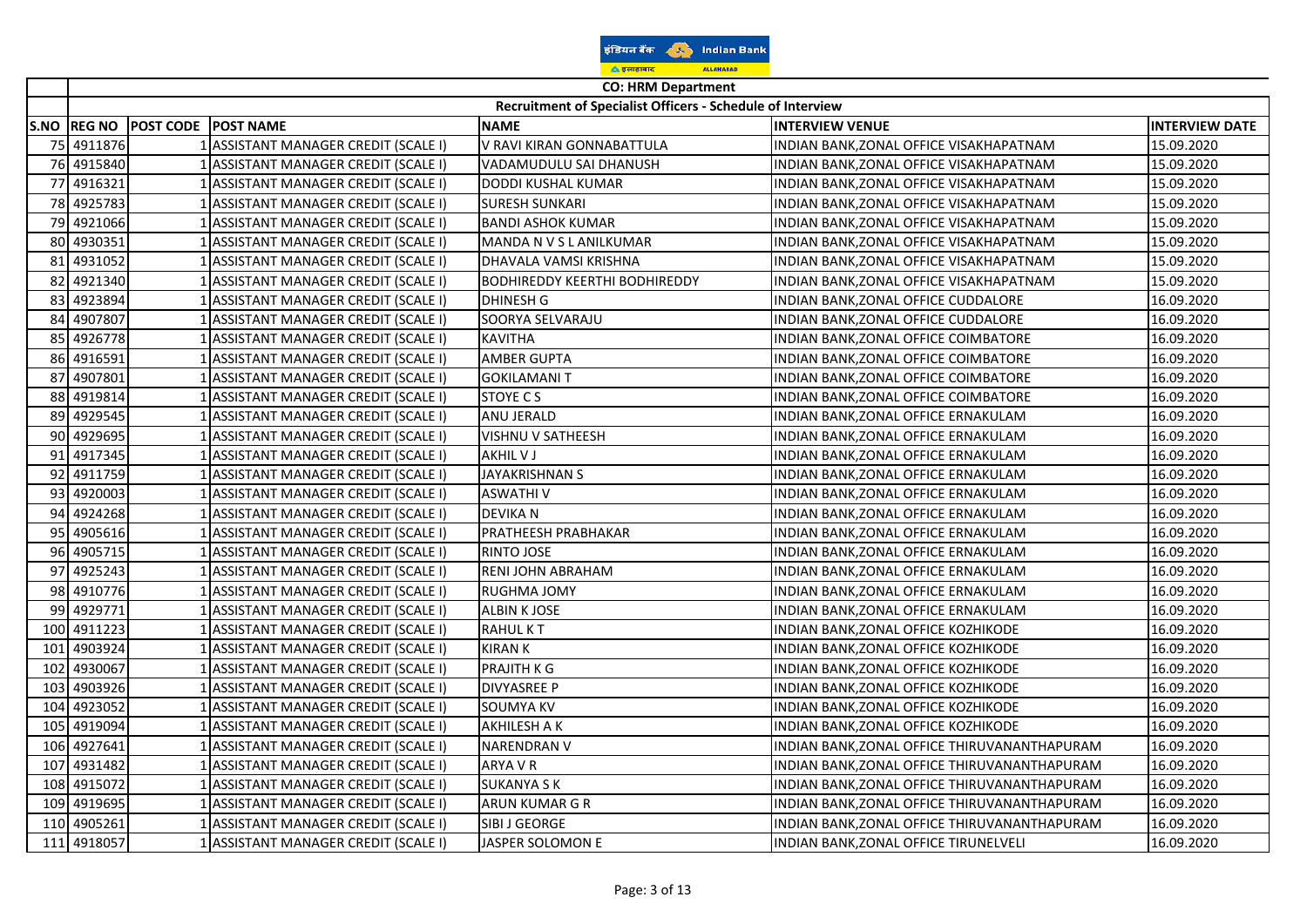| इंडियन बैंक         | <b>Indian Bank</b> |  |  |
|---------------------|--------------------|--|--|
| <u>ि डलाहाबाद</u>   | <b>ALLAHABAD</b>   |  |  |
| CO. UDM Donartwarth |                    |  |  |

 $\overline{ }$ ᅮ

|     | CO: HRIVI Department<br>Recruitment of Specialist Officers - Schedule of Interview |                                 |                                      |                                      |                                              |                       |
|-----|------------------------------------------------------------------------------------|---------------------------------|--------------------------------------|--------------------------------------|----------------------------------------------|-----------------------|
|     |                                                                                    | S.NO REG NO POST CODE POST NAME |                                      | <b>NAME</b>                          | <b>INTERVIEW VENUE</b>                       | <b>INTERVIEW DATE</b> |
| 75I | 4911876                                                                            |                                 | 1 ASSISTANT MANAGER CREDIT (SCALE I) | V RAVI KIRAN GONNABATTULA            | INDIAN BANK, ZONAL OFFICE VISAKHAPATNAM      | 15.09.2020            |
| 76I | 4915840                                                                            |                                 | 1 ASSISTANT MANAGER CREDIT (SCALE I) | VADAMUDULU SAI DHANUSH               | INDIAN BANK, ZONAL OFFICE VISAKHAPATNAM      | 15.09.2020            |
| 77  | 4916321                                                                            |                                 | 1 ASSISTANT MANAGER CREDIT (SCALE I) | DODDI KUSHAL KUMAR                   | INDIAN BANK, ZONAL OFFICE VISAKHAPATNAM      | 15.09.2020            |
| 78  | 4925783                                                                            |                                 | 1 ASSISTANT MANAGER CREDIT (SCALE I) | <b>SURESH SUNKARI</b>                | INDIAN BANK, ZONAL OFFICE VISAKHAPATNAM      | 15.09.2020            |
| 79  | 4921066                                                                            |                                 | ASSISTANT MANAGER CREDIT (SCALE I)   | <b>BANDI ASHOK KUMAR</b>             | INDIAN BANK, ZONAL OFFICE VISAKHAPATNAM      | 15.09.2020            |
| 80  | 4930351                                                                            |                                 | 1 ASSISTANT MANAGER CREDIT (SCALE I) | MANDA N V S L ANILKUMAR              | INDIAN BANK, ZONAL OFFICE VISAKHAPATNAM      | 15.09.2020            |
| 81  | 4931052                                                                            |                                 | ASSISTANT MANAGER CREDIT (SCALE I)   | DHAVALA VAMSI KRISHNA                | INDIAN BANK, ZONAL OFFICE VISAKHAPATNAM      | 15.09.2020            |
| 82  | 4921340                                                                            |                                 | 1 ASSISTANT MANAGER CREDIT (SCALE I) | <b>BODHIREDDY KEERTHI BODHIREDDY</b> | INDIAN BANK, ZONAL OFFICE VISAKHAPATNAM      | 15.09.2020            |
| 83  | 4923894                                                                            |                                 | 1 ASSISTANT MANAGER CREDIT (SCALE I) | <b>DHINESH G</b>                     | INDIAN BANK, ZONAL OFFICE CUDDALORE          | 16.09.2020            |
| 84  | 4907807                                                                            |                                 | 1 ASSISTANT MANAGER CREDIT (SCALE I) | SOORYA SELVARAJU                     | INDIAN BANK, ZONAL OFFICE CUDDALORE          | 16.09.2020            |
| 85  | 4926778                                                                            |                                 | 1 ASSISTANT MANAGER CREDIT (SCALE I) | <b>KAVITHA</b>                       | INDIAN BANK, ZONAL OFFICE COIMBATORE         | 16.09.2020            |
| 86  | 4916591                                                                            |                                 | ASSISTANT MANAGER CREDIT (SCALE I)   | <b>AMBER GUPTA</b>                   | INDIAN BANK, ZONAL OFFICE COIMBATORE         | 16.09.2020            |
| 87  | 4907801                                                                            |                                 | ASSISTANT MANAGER CREDIT (SCALE I)   | <b>GOKILAMANI T</b>                  | INDIAN BANK, ZONAL OFFICE COIMBATORE         | 16.09.2020            |
| 88  | 4919814                                                                            |                                 | 1 ASSISTANT MANAGER CREDIT (SCALE I) | STOYE C S                            | INDIAN BANK,ZONAL OFFICE COIMBATORE          | 16.09.2020            |
| 89  | 4929545                                                                            |                                 | ASSISTANT MANAGER CREDIT (SCALE I)   | ANU JERALD                           | INDIAN BANK, ZONAL OFFICE ERNAKULAM          | 16.09.2020            |
| 90  | 4929695                                                                            |                                 | 1 ASSISTANT MANAGER CREDIT (SCALE I) | VISHNU V SATHEESH                    | INDIAN BANK, ZONAL OFFICE ERNAKULAM          | 16.09.2020            |
| 91  | 4917345                                                                            |                                 | 1 ASSISTANT MANAGER CREDIT (SCALE I) | AKHIL V J                            | INDIAN BANK, ZONAL OFFICE ERNAKULAM          | 16.09.2020            |
| 92  | 4911759                                                                            |                                 | 1 ASSISTANT MANAGER CREDIT (SCALE I) | JAYAKRISHNAN S                       | INDIAN BANK, ZONAL OFFICE ERNAKULAM          | 16.09.2020            |
| 93  | 4920003                                                                            |                                 | 1 ASSISTANT MANAGER CREDIT (SCALE I) | <b>ASWATHIV</b>                      | INDIAN BANK, ZONAL OFFICE ERNAKULAM          | 16.09.2020            |
| 94  | 4924268                                                                            |                                 | 1 ASSISTANT MANAGER CREDIT (SCALE I) | <b>DEVIKA N</b>                      | INDIAN BANK, ZONAL OFFICE ERNAKULAM          | 16.09.2020            |
| 95  | 4905616                                                                            |                                 | ASSISTANT MANAGER CREDIT (SCALE I)   | PRATHEESH PRABHAKAR                  | INDIAN BANK, ZONAL OFFICE ERNAKULAM          | 16.09.2020            |
| 96  | 4905715                                                                            |                                 | ASSISTANT MANAGER CREDIT (SCALE I)   | RINTO JOSE                           | INDIAN BANK, ZONAL OFFICE ERNAKULAM          | 16.09.2020            |
| 97  | 4925243                                                                            |                                 | 1 ASSISTANT MANAGER CREDIT (SCALE I) | RENI JOHN ABRAHAM                    | INDIAN BANK, ZONAL OFFICE ERNAKULAM          | 16.09.2020            |
| 98  | 4910776                                                                            |                                 | ASSISTANT MANAGER CREDIT (SCALE I)   | RUGHMA JOMY                          | INDIAN BANK, ZONAL OFFICE ERNAKULAM          | 16.09.2020            |
| 99  | 4929771                                                                            |                                 | ASSISTANT MANAGER CREDIT (SCALE I)   | <b>ALBIN K JOSE</b>                  | INDIAN BANK, ZONAL OFFICE ERNAKULAM          | 16.09.2020            |
| 100 | 4911223                                                                            |                                 | 1 ASSISTANT MANAGER CREDIT (SCALE I) | <b>RAHULKT</b>                       | INDIAN BANK, ZONAL OFFICE KOZHIKODE          | 16.09.2020            |
| 101 | 4903924                                                                            |                                 | 1 ASSISTANT MANAGER CREDIT (SCALE I) | <b>KIRAN K</b>                       | INDIAN BANK, ZONAL OFFICE KOZHIKODE          | 16.09.2020            |
| 102 | 4930067                                                                            |                                 | 1 ASSISTANT MANAGER CREDIT (SCALE I) | PRAJITH K G                          | INDIAN BANK, ZONAL OFFICE KOZHIKODE          | 16.09.2020            |
| 103 | 4903926                                                                            |                                 | 1 ASSISTANT MANAGER CREDIT (SCALE I) | <b>DIVYASREE P</b>                   | INDIAN BANK, ZONAL OFFICE KOZHIKODE          | 16.09.2020            |
| 104 | 4923052                                                                            |                                 | ASSISTANT MANAGER CREDIT (SCALE I)   | <b>SOUMYA KV</b>                     | INDIAN BANK, ZONAL OFFICE KOZHIKODE          | 16.09.2020            |
| 105 | 4919094                                                                            |                                 | 1 ASSISTANT MANAGER CREDIT (SCALE I) | AKHILESH A K                         | INDIAN BANK, ZONAL OFFICE KOZHIKODE          | 16.09.2020            |
| 106 | 4927641                                                                            |                                 | 1 ASSISTANT MANAGER CREDIT (SCALE I) | <b>NARENDRAN V</b>                   | INDIAN BANK,ZONAL OFFICE THIRUVANANTHAPURAM  | 16.09.2020            |
| 107 | 4931482                                                                            |                                 | 1 ASSISTANT MANAGER CREDIT (SCALE I) | ARYA V R                             | INDIAN BANK, ZONAL OFFICE THIRUVANANTHAPURAM | 16.09.2020            |
| 108 | 4915072                                                                            |                                 | 1 ASSISTANT MANAGER CREDIT (SCALE I) | <b>SUKANYA S K</b>                   | INDIAN BANK, ZONAL OFFICE THIRUVANANTHAPURAM | 16.09.2020            |
| 109 | 4919695                                                                            |                                 | 1 ASSISTANT MANAGER CREDIT (SCALE I) | ARUN KUMAR G R                       | INDIAN BANK, ZONAL OFFICE THIRUVANANTHAPURAM | 16.09.2020            |
| 110 | 4905261                                                                            |                                 | 1 ASSISTANT MANAGER CREDIT (SCALE I) | SIBI J GEORGE                        | INDIAN BANK, ZONAL OFFICE THIRUVANANTHAPURAM | 16.09.2020            |
|     | 111 4918057                                                                        |                                 | 1 ASSISTANT MANAGER CREDIT (SCALE I) | JASPER SOLOMON E                     | INDIAN BANK, ZONAL OFFICE TIRUNELVELI        | 16.09.2020            |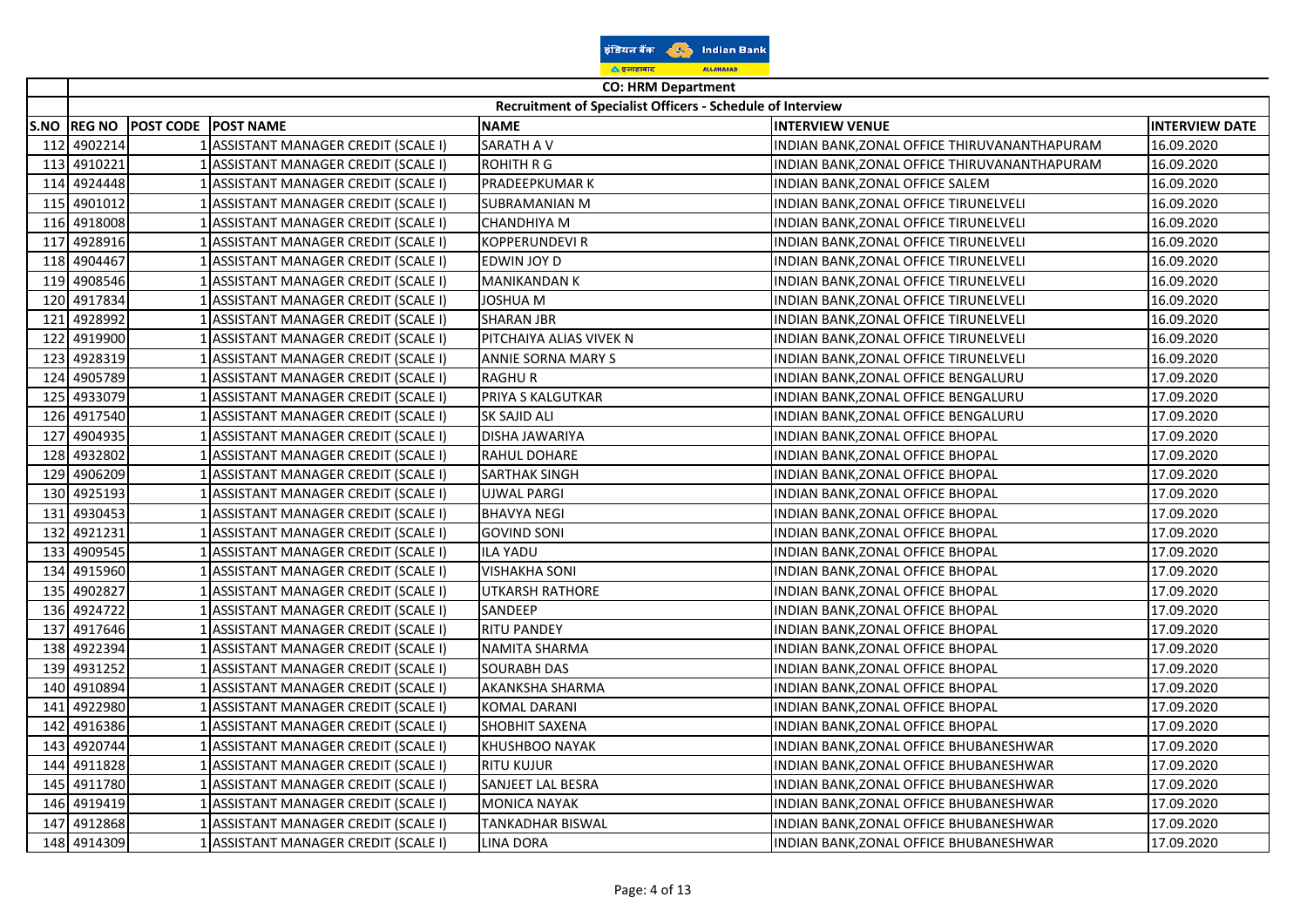| इंडियन बैंक        |  |                  | <b>Indian Bank</b> |
|--------------------|--|------------------|--------------------|
| <u>ि इलाहाबाद</u>  |  | <b>ALLAHABAD</b> |                    |
| CO: UDM Donartmant |  |                  |                    |

|      | <b>CO: HRM Department</b> |                     |                                      |                                                            |                                              |                       |
|------|---------------------------|---------------------|--------------------------------------|------------------------------------------------------------|----------------------------------------------|-----------------------|
|      |                           |                     |                                      | Recruitment of Specialist Officers - Schedule of Interview |                                              |                       |
| S.NO | <b>REG NO</b>             | POST CODE POST NAME |                                      | <b>NAME</b>                                                | <b>INTERVIEW VENUE</b>                       | <b>INTERVIEW DATE</b> |
| 112  | 4902214                   |                     | 1 ASSISTANT MANAGER CREDIT (SCALE I) | <b>SARATH A V</b>                                          | INDIAN BANK, ZONAL OFFICE THIRUVANANTHAPURAM | 16.09.2020            |
| 113  | 4910221                   |                     | 1 ASSISTANT MANAGER CREDIT (SCALE I) | ROHITH R G                                                 | INDIAN BANK, ZONAL OFFICE THIRUVANANTHAPURAM | 16.09.2020            |
| 114  | 4924448                   |                     | 1 ASSISTANT MANAGER CREDIT (SCALE I) | PRADEEPKUMAR K                                             | INDIAN BANK, ZONAL OFFICE SALEM              | 16.09.2020            |
| 115  | 4901012                   |                     | ASSISTANT MANAGER CREDIT (SCALE I)   | SUBRAMANIAN M                                              | INDIAN BANK, ZONAL OFFICE TIRUNELVELI        | 16.09.2020            |
| 116  | 4918008                   |                     | 1 ASSISTANT MANAGER CREDIT (SCALE I) | CHANDHIYA M                                                | INDIAN BANK, ZONAL OFFICE TIRUNELVELI        | 16.09.2020            |
| 117  | 4928916                   |                     | 1 ASSISTANT MANAGER CREDIT (SCALE I) | KOPPERUNDEVI R                                             | INDIAN BANK, ZONAL OFFICE TIRUNELVELI        | 16.09.2020            |
| 118  | 4904467                   |                     | 1 ASSISTANT MANAGER CREDIT (SCALE I) | EDWIN JOY D                                                | INDIAN BANK, ZONAL OFFICE TIRUNELVELI        | 16.09.2020            |
| 119  | 4908546                   |                     | 1 ASSISTANT MANAGER CREDIT (SCALE I) | MANIKANDAN K                                               | INDIAN BANK, ZONAL OFFICE TIRUNELVELI        | 16.09.2020            |
| 120  | 4917834                   |                     | 1 ASSISTANT MANAGER CREDIT (SCALE I) | JOSHUA M                                                   | INDIAN BANK, ZONAL OFFICE TIRUNELVELI        | 16.09.2020            |
| 121  | 4928992                   |                     | 1 ASSISTANT MANAGER CREDIT (SCALE I) | <b>SHARAN JBR</b>                                          | INDIAN BANK, ZONAL OFFICE TIRUNELVELI        | 16.09.2020            |
| 122  | 4919900                   |                     | ASSISTANT MANAGER CREDIT (SCALE I)   | PITCHAIYA ALIAS VIVEK N                                    | INDIAN BANK, ZONAL OFFICE TIRUNELVELI        | 16.09.2020            |
| 123  | 4928319                   |                     | ASSISTANT MANAGER CREDIT (SCALE I)   | ANNIE SORNA MARY S                                         | INDIAN BANK, ZONAL OFFICE TIRUNELVELI        | 16.09.2020            |
| 124  | 4905789                   |                     | 1 ASSISTANT MANAGER CREDIT (SCALE I) | <b>RAGHUR</b>                                              | INDIAN BANK, ZONAL OFFICE BENGALURU          | 17.09.2020            |
| 125  | 4933079                   |                     | 1 ASSISTANT MANAGER CREDIT (SCALE I) | PRIYA S KALGUTKAR                                          | INDIAN BANK, ZONAL OFFICE BENGALURU          | 17.09.2020            |
| 126  | 4917540                   |                     | 1 ASSISTANT MANAGER CREDIT (SCALE I) | SK SAJID ALI                                               | INDIAN BANK, ZONAL OFFICE BENGALURU          | 17.09.2020            |
| 127  | 4904935                   |                     | 1 ASSISTANT MANAGER CREDIT (SCALE I) | DISHA JAWARIYA                                             | INDIAN BANK, ZONAL OFFICE BHOPAL             | 17.09.2020            |
| 128  | 4932802                   |                     | ASSISTANT MANAGER CREDIT (SCALE I)   | RAHUL DOHARE                                               | INDIAN BANK, ZONAL OFFICE BHOPAL             | 17.09.2020            |
| 129  | 4906209                   |                     | ASSISTANT MANAGER CREDIT (SCALE I)   | SARTHAK SINGH                                              | INDIAN BANK, ZONAL OFFICE BHOPAL             | 17.09.2020            |
| 130  | 4925193                   |                     | ASSISTANT MANAGER CREDIT (SCALE I)   | UJWAL PARGI                                                | INDIAN BANK, ZONAL OFFICE BHOPAL             | 17.09.2020            |
| 131  | 4930453                   |                     | 1 ASSISTANT MANAGER CREDIT (SCALE I) | <b>BHAVYA NEGI</b>                                         | INDIAN BANK, ZONAL OFFICE BHOPAL             | 17.09.2020            |
| 132  | 4921231                   |                     | 1 ASSISTANT MANAGER CREDIT (SCALE I) | <b>GOVIND SONI</b>                                         | INDIAN BANK, ZONAL OFFICE BHOPAL             | 17.09.2020            |
| 133  | 4909545                   |                     | 1 ASSISTANT MANAGER CREDIT (SCALE I) | <b>ILA YADU</b>                                            | INDIAN BANK, ZONAL OFFICE BHOPAL             | 17.09.2020            |
| 134  | 4915960                   |                     | 1 ASSISTANT MANAGER CREDIT (SCALE I) | <b>VISHAKHA SONI</b>                                       | INDIAN BANK, ZONAL OFFICE BHOPAL             | 17.09.2020            |
| 135  | 4902827                   |                     | 1 ASSISTANT MANAGER CREDIT (SCALE I) | <b>UTKARSH RATHORE</b>                                     | INDIAN BANK, ZONAL OFFICE BHOPAL             | 17.09.2020            |
|      | 136 4924722               |                     | 1 ASSISTANT MANAGER CREDIT (SCALE I) | SANDEEP                                                    | INDIAN BANK, ZONAL OFFICE BHOPAL             | 17.09.2020            |
| 137  | 4917646                   |                     | ASSISTANT MANAGER CREDIT (SCALE I)   | <b>RITU PANDEY</b>                                         | INDIAN BANK, ZONAL OFFICE BHOPAL             | 17.09.2020            |
| 138  | 4922394                   |                     | 1 ASSISTANT MANAGER CREDIT (SCALE I) | NAMITA SHARMA                                              | INDIAN BANK, ZONAL OFFICE BHOPAL             | 17.09.2020            |
|      | 139 4931252               |                     | 1 ASSISTANT MANAGER CREDIT (SCALE I) | <b>SOURABH DAS</b>                                         | INDIAN BANK, ZONAL OFFICE BHOPAL             | 17.09.2020            |
|      | 140 4910894               |                     | 1 ASSISTANT MANAGER CREDIT (SCALE I) | AKANKSHA SHARMA                                            | INDIAN BANK, ZONAL OFFICE BHOPAL             | 17.09.2020            |
| 141  | 4922980                   |                     | 1 ASSISTANT MANAGER CREDIT (SCALE I) | KOMAL DARANI                                               | INDIAN BANK, ZONAL OFFICE BHOPAL             | 17.09.2020            |
| 142  | 4916386                   |                     | 1 ASSISTANT MANAGER CREDIT (SCALE I) | SHOBHIT SAXENA                                             | INDIAN BANK, ZONAL OFFICE BHOPAL             | 17.09.2020            |
| 143  | 4920744                   |                     | 1 ASSISTANT MANAGER CREDIT (SCALE I) | <b>KHUSHBOO NAYAK</b>                                      | INDIAN BANK, ZONAL OFFICE BHUBANESHWAR       | 17.09.2020            |
| 144  | 4911828                   |                     | ASSISTANT MANAGER CREDIT (SCALE I)   | RITU KUJUR                                                 | INDIAN BANK,ZONAL OFFICE BHUBANESHWAR        | 17.09.2020            |
| 145  | 4911780                   |                     | 1 ASSISTANT MANAGER CREDIT (SCALE I) | SANJEET LAL BESRA                                          | INDIAN BANK, ZONAL OFFICE BHUBANESHWAR       | 17.09.2020            |
|      | 146 4919419               |                     | 1 ASSISTANT MANAGER CREDIT (SCALE I) | <b>MONICA NAYAK</b>                                        | INDIAN BANK, ZONAL OFFICE BHUBANESHWAR       | 17.09.2020            |
| 147  | 4912868                   |                     | 1 ASSISTANT MANAGER CREDIT (SCALE I) | TANKADHAR BISWAL                                           | INDIAN BANK, ZONAL OFFICE BHUBANESHWAR       | 17.09.2020            |
|      | 148 4914309               |                     | 1 ASSISTANT MANAGER CREDIT (SCALE I) | <b>LINA DORA</b>                                           | INDIAN BANK, ZONAL OFFICE BHUBANESHWAR       | 17.09.2020            |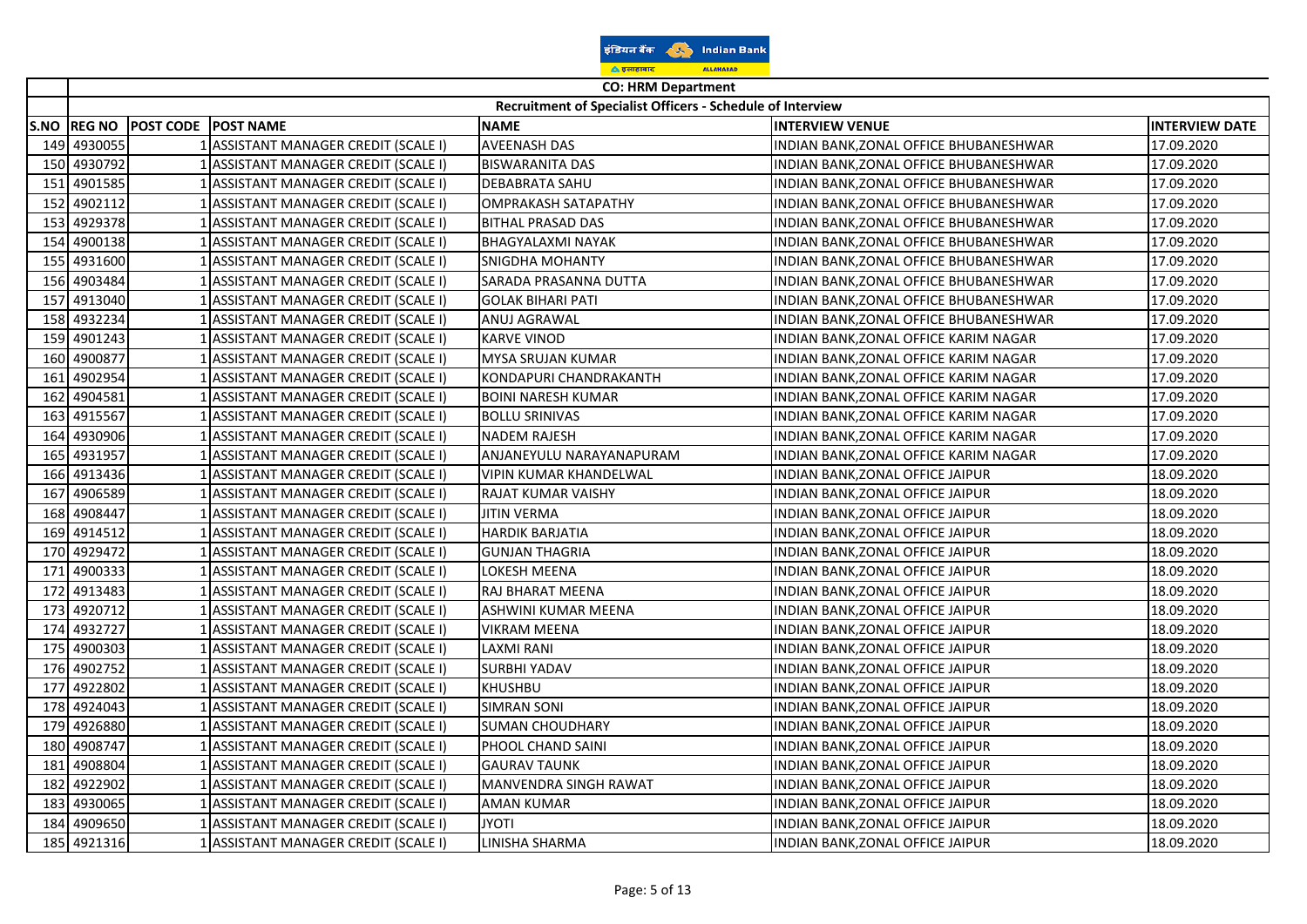| इंडियन बैंक        |  | <b>Indian Bank</b> |  |
|--------------------|--|--------------------|--|
| <u>ि इलाहाबाद</u>  |  | <b>ALLAHABAD</b>   |  |
| CO: UDM Donartmant |  |                    |  |

|      | <b>CO: HRM Department</b> |                     |                                      |                                                            |                                        |                       |
|------|---------------------------|---------------------|--------------------------------------|------------------------------------------------------------|----------------------------------------|-----------------------|
|      |                           |                     |                                      | Recruitment of Specialist Officers - Schedule of Interview |                                        |                       |
| S.NO | <b>REG NO</b>             | POST CODE POST NAME |                                      | <b>NAME</b>                                                | <b>INTERVIEW VENUE</b>                 | <b>INTERVIEW DATE</b> |
| 149  | 4930055                   |                     | 1 ASSISTANT MANAGER CREDIT (SCALE I) | <b>AVEENASH DAS</b>                                        | INDIAN BANK, ZONAL OFFICE BHUBANESHWAR | 17.09.2020            |
| 150  | 4930792                   |                     | 1 ASSISTANT MANAGER CREDIT (SCALE I) | <b>BISWARANITA DAS</b>                                     | INDIAN BANK, ZONAL OFFICE BHUBANESHWAR | 17.09.2020            |
| 151  | 4901585                   |                     | 1 ASSISTANT MANAGER CREDIT (SCALE I) | <b>DEBABRATA SAHU</b>                                      | INDIAN BANK, ZONAL OFFICE BHUBANESHWAR | 17.09.2020            |
| 152  | 4902112                   |                     | ASSISTANT MANAGER CREDIT (SCALE I)   | OMPRAKASH SATAPATHY                                        | INDIAN BANK, ZONAL OFFICE BHUBANESHWAR | 17.09.2020            |
| 153  | 4929378                   |                     | 1 ASSISTANT MANAGER CREDIT (SCALE I) | <b>BITHAL PRASAD DAS</b>                                   | INDIAN BANK, ZONAL OFFICE BHUBANESHWAR | 17.09.2020            |
| 154  | 4900138                   |                     | 1 ASSISTANT MANAGER CREDIT (SCALE I) | BHAGYALAXMI NAYAK                                          | INDIAN BANK,ZONAL OFFICE BHUBANESHWAR  | 17.09.2020            |
|      | 155 4931600               |                     | 1 ASSISTANT MANAGER CREDIT (SCALE I) | SNIGDHA MOHANTY                                            | INDIAN BANK, ZONAL OFFICE BHUBANESHWAR | 17.09.2020            |
|      | 156 4903484               |                     | 1 ASSISTANT MANAGER CREDIT (SCALE I) | SARADA PRASANNA DUTTA                                      | INDIAN BANK, ZONAL OFFICE BHUBANESHWAR | 17.09.2020            |
| 157  | 4913040                   |                     | 1 ASSISTANT MANAGER CREDIT (SCALE I) | <b>GOLAK BIHARI PATI</b>                                   | INDIAN BANK, ZONAL OFFICE BHUBANESHWAR | 17.09.2020            |
| 158  | 4932234                   |                     | 1 ASSISTANT MANAGER CREDIT (SCALE I) | ANUJ AGRAWAL                                               | INDIAN BANK, ZONAL OFFICE BHUBANESHWAR | 17.09.2020            |
| 159  | 4901243                   |                     | ASSISTANT MANAGER CREDIT (SCALE I)   | <b>KARVE VINOD</b>                                         | INDIAN BANK, ZONAL OFFICE KARIM NAGAR  | 17.09.2020            |
|      | 160 4900877               |                     | ASSISTANT MANAGER CREDIT (SCALE I)   | MYSA SRUJAN KUMAR                                          | INDIAN BANK,ZONAL OFFICE KARIM NAGAR   | 17.09.2020            |
| 161  | 4902954                   |                     | 1 ASSISTANT MANAGER CREDIT (SCALE I) | KONDAPURI CHANDRAKANTH                                     | INDIAN BANK, ZONAL OFFICE KARIM NAGAR  | 17.09.2020            |
| 162  | 4904581                   |                     | 1 ASSISTANT MANAGER CREDIT (SCALE I) | <b>BOINI NARESH KUMAR</b>                                  | INDIAN BANK, ZONAL OFFICE KARIM NAGAR  | 17.09.2020            |
| 163  | 4915567                   |                     | 1 ASSISTANT MANAGER CREDIT (SCALE I) | <b>BOLLU SRINIVAS</b>                                      | INDIAN BANK, ZONAL OFFICE KARIM NAGAR  | 17.09.2020            |
| 164  | 4930906                   |                     | 1 ASSISTANT MANAGER CREDIT (SCALE I) | <b>NADEM RAJESH</b>                                        | INDIAN BANK, ZONAL OFFICE KARIM NAGAR  | 17.09.2020            |
| 165  | 4931957                   |                     | 1 ASSISTANT MANAGER CREDIT (SCALE I) | ANJANEYULU NARAYANAPURAM                                   | INDIAN BANK, ZONAL OFFICE KARIM NAGAR  | 17.09.2020            |
| 166  | 4913436                   |                     | ASSISTANT MANAGER CREDIT (SCALE I)   | VIPIN KUMAR KHANDELWAL                                     | INDIAN BANK, ZONAL OFFICE JAIPUR       | 18.09.2020            |
| 167  | 4906589                   |                     | ASSISTANT MANAGER CREDIT (SCALE I)   | RAJAT KUMAR VAISHY                                         | INDIAN BANK, ZONAL OFFICE JAIPUR       | 18.09.2020            |
| 168  | 4908447                   |                     | ASSISTANT MANAGER CREDIT (SCALE I)   | <b>JITIN VERMA</b>                                         | INDIAN BANK, ZONAL OFFICE JAIPUR       | 18.09.2020            |
| 169  | 4914512                   |                     | 1 ASSISTANT MANAGER CREDIT (SCALE I) | <b>HARDIK BARJATIA</b>                                     | INDIAN BANK, ZONAL OFFICE JAIPUR       | 18.09.2020            |
|      | 170 4929472               |                     | 1 ASSISTANT MANAGER CREDIT (SCALE I) | <b>GUNJAN THAGRIA</b>                                      | INDIAN BANK, ZONAL OFFICE JAIPUR       | 18.09.2020            |
| 171  | 4900333                   |                     | 1 ASSISTANT MANAGER CREDIT (SCALE I) | LOKESH MEENA                                               | INDIAN BANK, ZONAL OFFICE JAIPUR       | 18.09.2020            |
| 172  | 4913483                   |                     | 1 ASSISTANT MANAGER CREDIT (SCALE I) | RAJ BHARAT MEENA                                           | INDIAN BANK, ZONAL OFFICE JAIPUR       | 18.09.2020            |
| 173  | 4920712                   |                     | ASSISTANT MANAGER CREDIT (SCALE I)   | ASHWINI KUMAR MEENA                                        | INDIAN BANK, ZONAL OFFICE JAIPUR       | 18.09.2020            |
| 174  | 4932727                   |                     | ASSISTANT MANAGER CREDIT (SCALE I)   | VIKRAM MEENA                                               | INDIAN BANK, ZONAL OFFICE JAIPUR       | 18.09.2020            |
| 175  | 4900303                   |                     | ASSISTANT MANAGER CREDIT (SCALE I)   | <b>LAXMI RANI</b>                                          | INDIAN BANK, ZONAL OFFICE JAIPUR       | 18.09.2020            |
|      | 176 4902752               |                     | 1 ASSISTANT MANAGER CREDIT (SCALE I) | <b>SURBHI YADAV</b>                                        | INDIAN BANK, ZONAL OFFICE JAIPUR       | 18.09.2020            |
| 177  | 4922802                   |                     | 1 ASSISTANT MANAGER CREDIT (SCALE I) | KHUSHBU                                                    | INDIAN BANK, ZONAL OFFICE JAIPUR       | 18.09.2020            |
| 178  | 4924043                   |                     | 1 ASSISTANT MANAGER CREDIT (SCALE I) | <b>SIMRAN SONI</b>                                         | INDIAN BANK, ZONAL OFFICE JAIPUR       | 18.09.2020            |
| 179  | 4926880                   |                     | 1 ASSISTANT MANAGER CREDIT (SCALE I) | <b>SUMAN CHOUDHARY</b>                                     | INDIAN BANK, ZONAL OFFICE JAIPUR       | 18.09.2020            |
| 180  | 4908747                   |                     | ASSISTANT MANAGER CREDIT (SCALE I)   | PHOOL CHAND SAINI                                          | INDIAN BANK, ZONAL OFFICE JAIPUR       | 18.09.2020            |
| 181  | 4908804                   |                     | ASSISTANT MANAGER CREDIT (SCALE I)   | <b>GAURAV TAUNK</b>                                        | INDIAN BANK, ZONAL OFFICE JAIPUR       | 18.09.2020            |
| 182  | 4922902                   |                     | ASSISTANT MANAGER CREDIT (SCALE I)   | MANVENDRA SINGH RAWAT                                      | INDIAN BANK, ZONAL OFFICE JAIPUR       | 18.09.2020            |
| 183  | 4930065                   |                     | 1 ASSISTANT MANAGER CREDIT (SCALE I) | <b>AMAN KUMAR</b>                                          | INDIAN BANK, ZONAL OFFICE JAIPUR       | 18.09.2020            |
|      | 184 4909650               |                     | 1 ASSISTANT MANAGER CREDIT (SCALE I) | <b>ITOYL</b>                                               | INDIAN BANK, ZONAL OFFICE JAIPUR       | 18.09.2020            |
|      | 185 4921316               |                     | 1 ASSISTANT MANAGER CREDIT (SCALE I) | LINISHA SHARMA                                             | INDIAN BANK, ZONAL OFFICE JAIPUR       | 18.09.2020            |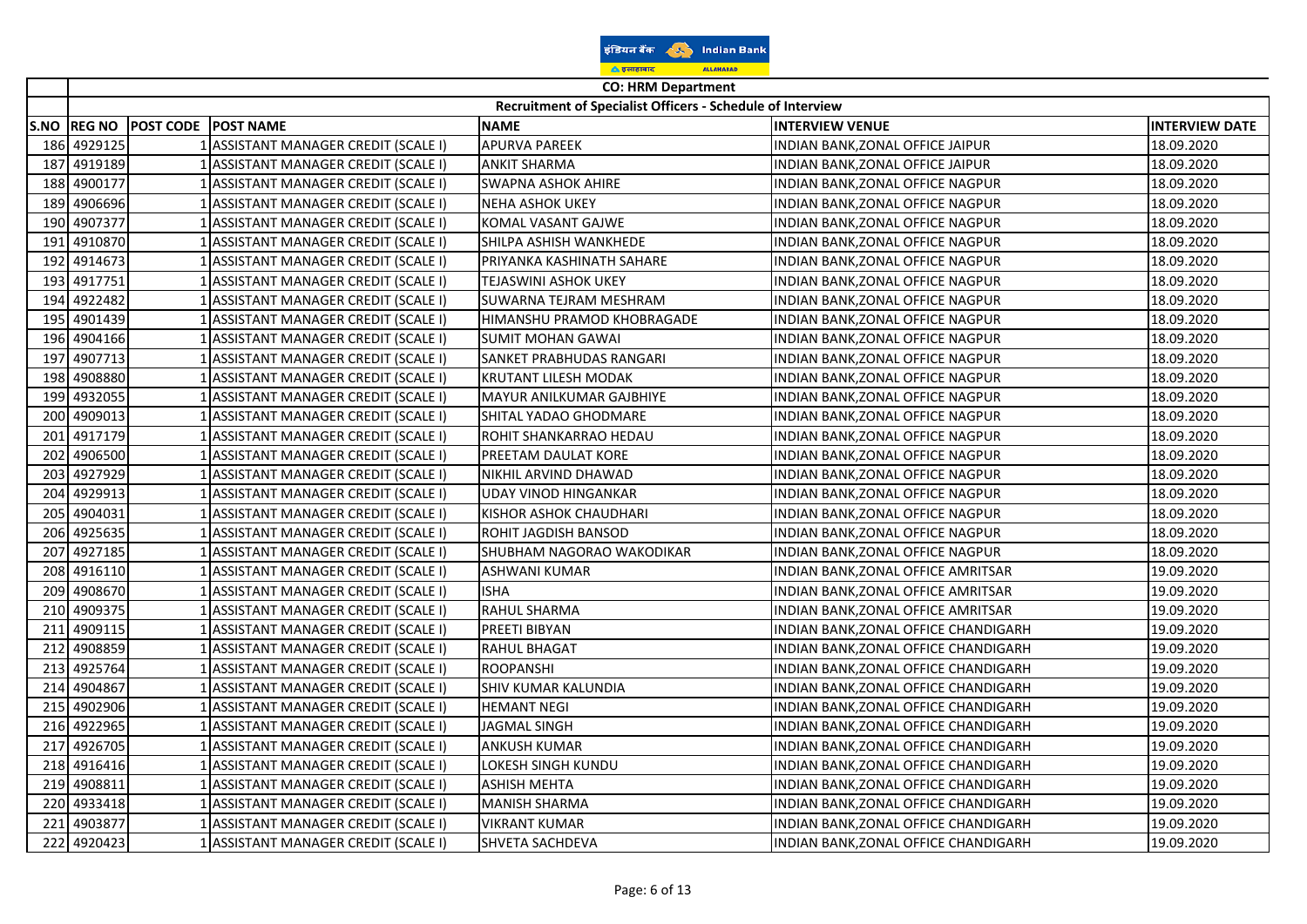| इंडियन बैंक        |  | <b>Indian Bank</b> |  |
|--------------------|--|--------------------|--|
| <u>ि इलाहाबाद</u>  |  | <b>ALLAHABAD</b>   |  |
| CO: UDM Donartmant |  |                    |  |

|      | <b>CO: HRM Department</b> |                            |                                      |                                                            |                                      |                       |
|------|---------------------------|----------------------------|--------------------------------------|------------------------------------------------------------|--------------------------------------|-----------------------|
|      |                           |                            |                                      | Recruitment of Specialist Officers - Schedule of Interview |                                      |                       |
| S.NO | <b>REG NO</b>             | <b>POST CODE POST NAME</b> |                                      | <b>NAME</b>                                                | <b>INTERVIEW VENUE</b>               | <b>INTERVIEW DATE</b> |
| 186  | 4929125                   |                            | 1 ASSISTANT MANAGER CREDIT (SCALE I) | <b>APURVA PAREEK</b>                                       | INDIAN BANK, ZONAL OFFICE JAIPUR     | 18.09.2020            |
| 187  | 4919189                   |                            | 1 ASSISTANT MANAGER CREDIT (SCALE I) | <b>ANKIT SHARMA</b>                                        | INDIAN BANK, ZONAL OFFICE JAIPUR     | 18.09.2020            |
| 188  | 4900177                   |                            | 1 ASSISTANT MANAGER CREDIT (SCALE I) | <b>SWAPNA ASHOK AHIRE</b>                                  | INDIAN BANK, ZONAL OFFICE NAGPUR     | 18.09.2020            |
| 189  | 4906696                   |                            | ASSISTANT MANAGER CREDIT (SCALE I)   | NEHA ASHOK UKEY                                            | INDIAN BANK,ZONAL OFFICE NAGPUR      | 18.09.2020            |
| 190  | 4907377                   |                            | 1 ASSISTANT MANAGER CREDIT (SCALE I) | KOMAL VASANT GAJWE                                         | INDIAN BANK,ZONAL OFFICE NAGPUR      | 18.09.2020            |
| 191  | 4910870                   |                            | 1 ASSISTANT MANAGER CREDIT (SCALE I) | SHILPA ASHISH WANKHEDE                                     | INDIAN BANK,ZONAL OFFICE NAGPUR      | 18.09.2020            |
| 192  | 4914673                   |                            | 1 ASSISTANT MANAGER CREDIT (SCALE I) | PRIYANKA KASHINATH SAHARE                                  | INDIAN BANK, ZONAL OFFICE NAGPUR     | 18.09.2020            |
| 193  | 4917751                   |                            | 1 ASSISTANT MANAGER CREDIT (SCALE I) | <b>TEJASWINI ASHOK UKEY</b>                                | INDIAN BANK, ZONAL OFFICE NAGPUR     | 18.09.2020            |
| 194  | 4922482                   |                            | 1 ASSISTANT MANAGER CREDIT (SCALE I) | SUWARNA TEJRAM MESHRAM                                     | INDIAN BANK, ZONAL OFFICE NAGPUR     | 18.09.2020            |
| 195  | 4901439                   |                            | 1 ASSISTANT MANAGER CREDIT (SCALE I) | HIMANSHU PRAMOD KHOBRAGADE                                 | INDIAN BANK, ZONAL OFFICE NAGPUR     | 18.09.2020            |
| 196  | 4904166                   |                            | 1 ASSISTANT MANAGER CREDIT (SCALE I) | <b>SUMIT MOHAN GAWAI</b>                                   | INDIAN BANK, ZONAL OFFICE NAGPUR     | 18.09.2020            |
| 197  | 4907713                   |                            | 1 ASSISTANT MANAGER CREDIT (SCALE I) | SANKET PRABHUDAS RANGARI                                   | INDIAN BANK,ZONAL OFFICE NAGPUR      | 18.09.2020            |
| 198  | 4908880                   |                            | 1 ASSISTANT MANAGER CREDIT (SCALE I) | KRUTANT LILESH MODAK                                       | INDIAN BANK, ZONAL OFFICE NAGPUR     | 18.09.2020            |
| 199  | 4932055                   |                            | 1 ASSISTANT MANAGER CREDIT (SCALE I) | <b>MAYUR ANILKUMAR GAJBHIYE</b>                            | INDIAN BANK, ZONAL OFFICE NAGPUR     | 18.09.2020            |
| 200  | 4909013                   |                            | 1 ASSISTANT MANAGER CREDIT (SCALE I) | SHITAL YADAO GHODMARE                                      | INDIAN BANK,ZONAL OFFICE NAGPUR      | 18.09.2020            |
| 201  | 4917179                   |                            | 1 ASSISTANT MANAGER CREDIT (SCALE I) | ROHIT SHANKARRAO HEDAU                                     | INDIAN BANK,ZONAL OFFICE NAGPUR      | 18.09.2020            |
| 202  | 4906500                   |                            | 1 ASSISTANT MANAGER CREDIT (SCALE I) | PREETAM DAULAT KORE                                        | INDIAN BANK, ZONAL OFFICE NAGPUR     | 18.09.2020            |
| 203  | 4927929                   |                            | 1 ASSISTANT MANAGER CREDIT (SCALE I) | NIKHIL ARVIND DHAWAD                                       | INDIAN BANK, ZONAL OFFICE NAGPUR     | 18.09.2020            |
| 204  | 4929913                   |                            | ASSISTANT MANAGER CREDIT (SCALE I)   | UDAY VINOD HINGANKAR                                       | INDIAN BANK,ZONAL OFFICE NAGPUR      | 18.09.2020            |
| 205  | 4904031                   |                            | 1 ASSISTANT MANAGER CREDIT (SCALE I) | KISHOR ASHOK CHAUDHARI                                     | INDIAN BANK,ZONAL OFFICE NAGPUR      | 18.09.2020            |
| 206  | 4925635                   |                            | 1 ASSISTANT MANAGER CREDIT (SCALE I) | ROHIT JAGDISH BANSOD                                       | INDIAN BANK, ZONAL OFFICE NAGPUR     | 18.09.2020            |
| 207  | 4927185                   |                            | 1 ASSISTANT MANAGER CREDIT (SCALE I) | SHUBHAM NAGORAO WAKODIKAR                                  | INDIAN BANK, ZONAL OFFICE NAGPUR     | 18.09.2020            |
| 208  | 4916110                   |                            | 1 ASSISTANT MANAGER CREDIT (SCALE I) | <b>ASHWANI KUMAR</b>                                       | INDIAN BANK, ZONAL OFFICE AMRITSAR   | 19.09.2020            |
| 209  | 4908670                   |                            | 1 ASSISTANT MANAGER CREDIT (SCALE I) | <b>ISHA</b>                                                | INDIAN BANK, ZONAL OFFICE AMRITSAR   | 19.09.2020            |
| 210  | 4909375                   |                            | 1 ASSISTANT MANAGER CREDIT (SCALE I) | <b>RAHUL SHARMA</b>                                        | INDIAN BANK,ZONAL OFFICE AMRITSAR    | 19.09.2020            |
| 211  | 4909115                   |                            | LASSISTANT MANAGER CREDIT (SCALE I)  | PREETI BIBYAN                                              | INDIAN BANK,ZONAL OFFICE CHANDIGARH  | 19.09.2020            |
| 212  | 4908859                   |                            | 1 ASSISTANT MANAGER CREDIT (SCALE I) | <b>RAHUL BHAGAT</b>                                        | INDIAN BANK,ZONAL OFFICE CHANDIGARH  | 19.09.2020            |
| 213  | 4925764                   |                            | 1 ASSISTANT MANAGER CREDIT (SCALE I) | <b>ROOPANSHI</b>                                           | INDIAN BANK, ZONAL OFFICE CHANDIGARH | 19.09.2020            |
| 214  | 4904867                   |                            | 1 ASSISTANT MANAGER CREDIT (SCALE I) | <b>SHIV KUMAR KALUNDIA</b>                                 | INDIAN BANK, ZONAL OFFICE CHANDIGARH | 19.09.2020            |
| 215  | 4902906                   |                            | 1 ASSISTANT MANAGER CREDIT (SCALE I) | <b>HEMANT NEGI</b>                                         | INDIAN BANK, ZONAL OFFICE CHANDIGARH | 19.09.2020            |
| 216  | 4922965                   |                            | 1 ASSISTANT MANAGER CREDIT (SCALE I) | <b>JAGMAL SINGH</b>                                        | INDIAN BANK, ZONAL OFFICE CHANDIGARH | 19.09.2020            |
| 217  | 4926705                   |                            | 1 ASSISTANT MANAGER CREDIT (SCALE I) | <b>ANKUSH KUMAR</b>                                        | INDIAN BANK, ZONAL OFFICE CHANDIGARH | 19.09.2020            |
| 218  | 4916416                   |                            | LASSISTANT MANAGER CREDIT (SCALE I)  | LOKESH SINGH KUNDU                                         | INDIAN BANK,ZONAL OFFICE CHANDIGARH  | 19.09.2020            |
| 219  | 4908811                   |                            | 1 ASSISTANT MANAGER CREDIT (SCALE I) | <b>ASHISH MEHTA</b>                                        | INDIAN BANK,ZONAL OFFICE CHANDIGARH  | 19.09.2020            |
| 220  | 4933418                   |                            | 1 ASSISTANT MANAGER CREDIT (SCALE I) | <b>MANISH SHARMA</b>                                       | INDIAN BANK, ZONAL OFFICE CHANDIGARH | 19.09.2020            |
| 221  | 4903877                   |                            | 1 ASSISTANT MANAGER CREDIT (SCALE I) | <b>VIKRANT KUMAR</b>                                       | INDIAN BANK,ZONAL OFFICE CHANDIGARH  | 19.09.2020            |
| 222  | 4920423                   |                            | 1 ASSISTANT MANAGER CREDIT (SCALE I) | SHVETA SACHDEVA                                            | INDIAN BANK, ZONAL OFFICE CHANDIGARH | 19.09.2020            |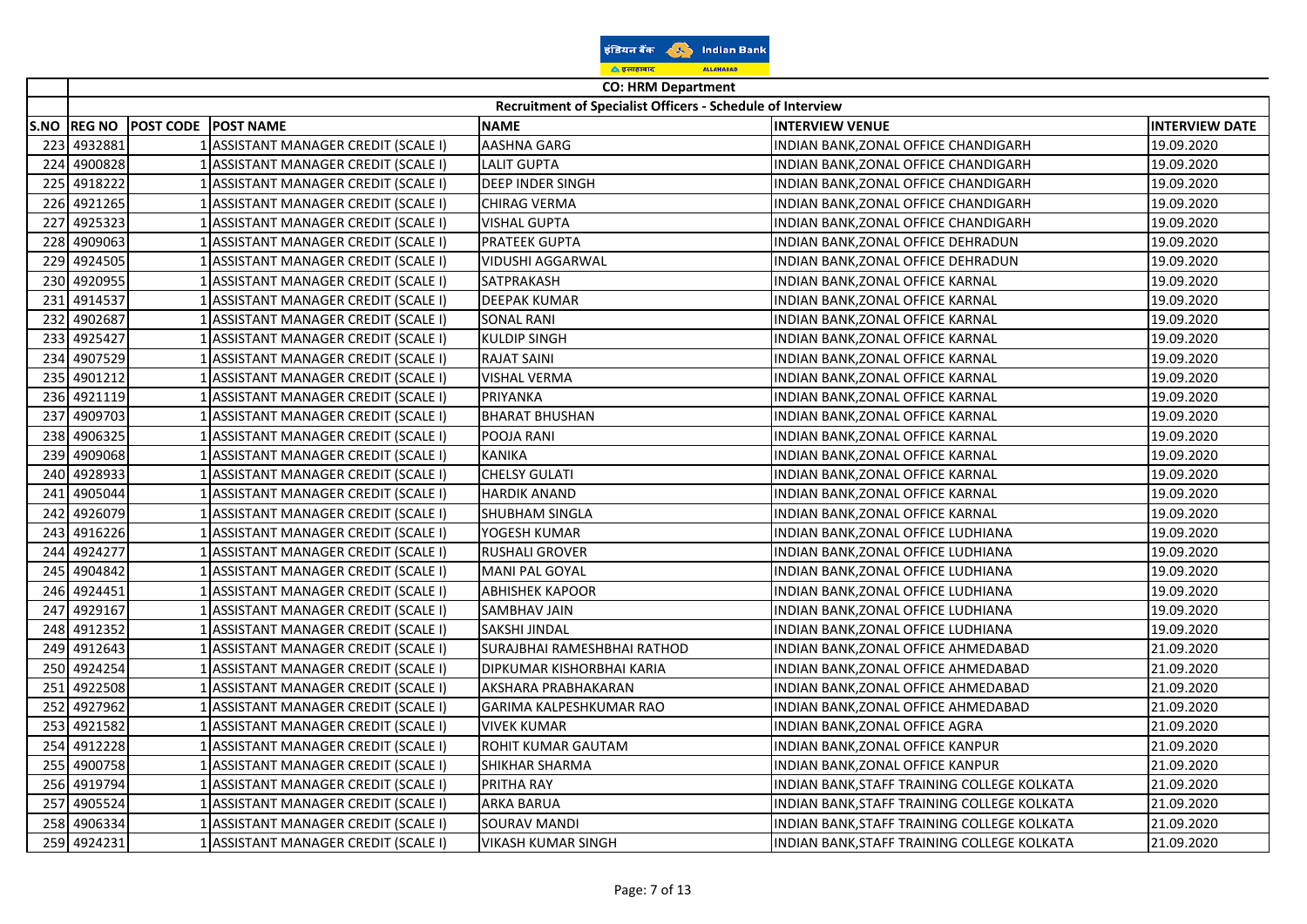| इंडियन बैंक        |  | <b>Indian Bank</b> |  |  |
|--------------------|--|--------------------|--|--|
| <u>ि इलाहाबाद</u>  |  | <b>ALLAHABAD</b>   |  |  |
| CO: UDM Donartmant |  |                    |  |  |

 $\Gamma$  $\overline{\phantom{a}}$ 

| Recruitment of Specialist Officers - Schedule of Interview<br><b>INTERVIEW VENUE</b><br>S.NO REG NO<br><b>POST CODE POST NAME</b><br><b>NAME</b><br>1 ASSISTANT MANAGER CREDIT (SCALE I)<br>AASHNA GARG<br>INDIAN BANK, ZONAL OFFICE CHANDIGARH<br>4932881<br>223<br>4900828<br>224<br>1 ASSISTANT MANAGER CREDIT (SCALE I)<br><b>LALIT GUPTA</b><br>INDIAN BANK, ZONAL OFFICE CHANDIGARH<br>225<br>4918222<br>1 ASSISTANT MANAGER CREDIT (SCALE I)<br><b>DEEP INDER SINGH</b><br>INDIAN BANK, ZONAL OFFICE CHANDIGARH<br>226<br>4921265<br><b>CHIRAG VERMA</b><br>1 ASSISTANT MANAGER CREDIT (SCALE I)<br>INDIAN BANK, ZONAL OFFICE CHANDIGARH<br>227<br>4925323<br>1 ASSISTANT MANAGER CREDIT (SCALE I)<br><b>VISHAL GUPTA</b><br>INDIAN BANK, ZONAL OFFICE CHANDIGARH<br>4909063<br>228<br>ASSISTANT MANAGER CREDIT (SCALE I)<br>PRATEEK GUPTA<br>INDIAN BANK, ZONAL OFFICE DEHRADUN | <b>INTERVIEW DATE</b><br>19.09.2020<br>19.09.2020<br>19.09.2020<br>19.09.2020<br>19.09.2020<br>19.09.2020<br>19.09.2020<br>19.09.2020<br>19.09.2020 |
|-----------------------------------------------------------------------------------------------------------------------------------------------------------------------------------------------------------------------------------------------------------------------------------------------------------------------------------------------------------------------------------------------------------------------------------------------------------------------------------------------------------------------------------------------------------------------------------------------------------------------------------------------------------------------------------------------------------------------------------------------------------------------------------------------------------------------------------------------------------------------------------------|-----------------------------------------------------------------------------------------------------------------------------------------------------|
|                                                                                                                                                                                                                                                                                                                                                                                                                                                                                                                                                                                                                                                                                                                                                                                                                                                                                         |                                                                                                                                                     |
|                                                                                                                                                                                                                                                                                                                                                                                                                                                                                                                                                                                                                                                                                                                                                                                                                                                                                         |                                                                                                                                                     |
|                                                                                                                                                                                                                                                                                                                                                                                                                                                                                                                                                                                                                                                                                                                                                                                                                                                                                         |                                                                                                                                                     |
|                                                                                                                                                                                                                                                                                                                                                                                                                                                                                                                                                                                                                                                                                                                                                                                                                                                                                         |                                                                                                                                                     |
|                                                                                                                                                                                                                                                                                                                                                                                                                                                                                                                                                                                                                                                                                                                                                                                                                                                                                         |                                                                                                                                                     |
|                                                                                                                                                                                                                                                                                                                                                                                                                                                                                                                                                                                                                                                                                                                                                                                                                                                                                         |                                                                                                                                                     |
|                                                                                                                                                                                                                                                                                                                                                                                                                                                                                                                                                                                                                                                                                                                                                                                                                                                                                         |                                                                                                                                                     |
|                                                                                                                                                                                                                                                                                                                                                                                                                                                                                                                                                                                                                                                                                                                                                                                                                                                                                         |                                                                                                                                                     |
| 4924505<br>229<br>1 ASSISTANT MANAGER CREDIT (SCALE I)<br><b>VIDUSHI AGGARWAL</b><br>INDIAN BANK, ZONAL OFFICE DEHRADUN                                                                                                                                                                                                                                                                                                                                                                                                                                                                                                                                                                                                                                                                                                                                                                 |                                                                                                                                                     |
| 4920955<br>230<br>1 ASSISTANT MANAGER CREDIT (SCALE I)<br>SATPRAKASH<br>INDIAN BANK, ZONAL OFFICE KARNAL                                                                                                                                                                                                                                                                                                                                                                                                                                                                                                                                                                                                                                                                                                                                                                                |                                                                                                                                                     |
| 4914537<br>1 ASSISTANT MANAGER CREDIT (SCALE I)<br><b>DEEPAK KUMAR</b><br>231<br>INDIAN BANK, ZONAL OFFICE KARNAL                                                                                                                                                                                                                                                                                                                                                                                                                                                                                                                                                                                                                                                                                                                                                                       |                                                                                                                                                     |
| 4902687<br>1 ASSISTANT MANAGER CREDIT (SCALE I)<br>232<br>SONAL RANI<br>INDIAN BANK, ZONAL OFFICE KARNAL                                                                                                                                                                                                                                                                                                                                                                                                                                                                                                                                                                                                                                                                                                                                                                                | 19.09.2020                                                                                                                                          |
| 233<br>4925427<br>1 ASSISTANT MANAGER CREDIT (SCALE I)<br><b>KULDIP SINGH</b><br>INDIAN BANK, ZONAL OFFICE KARNAL                                                                                                                                                                                                                                                                                                                                                                                                                                                                                                                                                                                                                                                                                                                                                                       | 19.09.2020                                                                                                                                          |
| 4907529<br>234<br>1 ASSISTANT MANAGER CREDIT (SCALE I)<br><b>RAJAT SAINI</b><br>INDIAN BANK, ZONAL OFFICE KARNAL                                                                                                                                                                                                                                                                                                                                                                                                                                                                                                                                                                                                                                                                                                                                                                        | 19.09.2020                                                                                                                                          |
| 235<br>4901212<br>1 ASSISTANT MANAGER CREDIT (SCALE I)<br>VISHAL VERMA<br>INDIAN BANK, ZONAL OFFICE KARNAL                                                                                                                                                                                                                                                                                                                                                                                                                                                                                                                                                                                                                                                                                                                                                                              | 19.09.2020                                                                                                                                          |
| 236<br>4921119<br>PRIYANKA<br>1 ASSISTANT MANAGER CREDIT (SCALE I)<br>INDIAN BANK, ZONAL OFFICE KARNAL                                                                                                                                                                                                                                                                                                                                                                                                                                                                                                                                                                                                                                                                                                                                                                                  | 19.09.2020                                                                                                                                          |
| 4909703<br>237<br>ASSISTANT MANAGER CREDIT (SCALE I)<br><b>BHARAT BHUSHAN</b><br>INDIAN BANK, ZONAL OFFICE KARNAL                                                                                                                                                                                                                                                                                                                                                                                                                                                                                                                                                                                                                                                                                                                                                                       | 19.09.2020                                                                                                                                          |
| 4906325<br>238<br>1 ASSISTANT MANAGER CREDIT (SCALE I)<br>POOJA RANI<br>INDIAN BANK, ZONAL OFFICE KARNAL                                                                                                                                                                                                                                                                                                                                                                                                                                                                                                                                                                                                                                                                                                                                                                                | 19.09.2020                                                                                                                                          |
| 4909068<br><b>KANIKA</b><br>239<br>1 ASSISTANT MANAGER CREDIT (SCALE I)<br>INDIAN BANK, ZONAL OFFICE KARNAL                                                                                                                                                                                                                                                                                                                                                                                                                                                                                                                                                                                                                                                                                                                                                                             | 19.09.2020                                                                                                                                          |
| 4928933<br>1 ASSISTANT MANAGER CREDIT (SCALE I)<br><b>CHELSY GULATI</b><br>240<br>INDIAN BANK, ZONAL OFFICE KARNAL                                                                                                                                                                                                                                                                                                                                                                                                                                                                                                                                                                                                                                                                                                                                                                      | 19.09.2020                                                                                                                                          |
| 4905044<br>1 ASSISTANT MANAGER CREDIT (SCALE I)<br><b>HARDIK ANAND</b><br>241<br>INDIAN BANK, ZONAL OFFICE KARNAL                                                                                                                                                                                                                                                                                                                                                                                                                                                                                                                                                                                                                                                                                                                                                                       | 19.09.2020                                                                                                                                          |
| 242<br>4926079<br>1 ASSISTANT MANAGER CREDIT (SCALE I)<br>SHUBHAM SINGLA<br>INDIAN BANK, ZONAL OFFICE KARNAL                                                                                                                                                                                                                                                                                                                                                                                                                                                                                                                                                                                                                                                                                                                                                                            | 19.09.2020                                                                                                                                          |
| 4916226<br>243<br>1 ASSISTANT MANAGER CREDIT (SCALE I)<br>YOGESH KUMAR<br>INDIAN BANK, ZONAL OFFICE LUDHIANA                                                                                                                                                                                                                                                                                                                                                                                                                                                                                                                                                                                                                                                                                                                                                                            | 19.09.2020                                                                                                                                          |
| 244<br>4924277<br>1 ASSISTANT MANAGER CREDIT (SCALE I)<br><b>RUSHALI GROVER</b><br>INDIAN BANK, ZONAL OFFICE LUDHIANA                                                                                                                                                                                                                                                                                                                                                                                                                                                                                                                                                                                                                                                                                                                                                                   | 19.09.2020                                                                                                                                          |
| 4904842<br>245<br>1 ASSISTANT MANAGER CREDIT (SCALE I)<br>MANI PAL GOYAL<br>INDIAN BANK, ZONAL OFFICE LUDHIANA                                                                                                                                                                                                                                                                                                                                                                                                                                                                                                                                                                                                                                                                                                                                                                          | 19.09.2020                                                                                                                                          |
| 4924451<br>246<br>ASSISTANT MANAGER CREDIT (SCALE I)<br><b>ABHISHEK KAPOOR</b><br>INDIAN BANK, ZONAL OFFICE LUDHIANA                                                                                                                                                                                                                                                                                                                                                                                                                                                                                                                                                                                                                                                                                                                                                                    | 19.09.2020                                                                                                                                          |
| 4929167<br>1 ASSISTANT MANAGER CREDIT (SCALE I)<br>SAMBHAV JAIN<br>247<br>INDIAN BANK, ZONAL OFFICE LUDHIANA                                                                                                                                                                                                                                                                                                                                                                                                                                                                                                                                                                                                                                                                                                                                                                            | 19.09.2020                                                                                                                                          |
| 248 4912352<br>1 ASSISTANT MANAGER CREDIT (SCALE I)<br>SAKSHI JINDAL<br>INDIAN BANK, ZONAL OFFICE LUDHIANA                                                                                                                                                                                                                                                                                                                                                                                                                                                                                                                                                                                                                                                                                                                                                                              | 19.09.2020                                                                                                                                          |
| SURAJBHAI RAMESHBHAI RATHOD<br>4912643<br>1 ASSISTANT MANAGER CREDIT (SCALE I)<br>249<br>INDIAN BANK, ZONAL OFFICE AHMEDABAD                                                                                                                                                                                                                                                                                                                                                                                                                                                                                                                                                                                                                                                                                                                                                            | 21.09.2020                                                                                                                                          |
| 250<br>4924254<br>1 ASSISTANT MANAGER CREDIT (SCALE I)<br>DIPKUMAR KISHORBHAI KARIA<br>INDIAN BANK, ZONAL OFFICE AHMEDABAD                                                                                                                                                                                                                                                                                                                                                                                                                                                                                                                                                                                                                                                                                                                                                              | 21.09.2020                                                                                                                                          |
| 251<br>4922508<br>1 ASSISTANT MANAGER CREDIT (SCALE I)<br>AKSHARA PRABHAKARAN<br>INDIAN BANK, ZONAL OFFICE AHMEDABAD                                                                                                                                                                                                                                                                                                                                                                                                                                                                                                                                                                                                                                                                                                                                                                    | 21.09.2020                                                                                                                                          |
| 252<br>4927962<br>1 ASSISTANT MANAGER CREDIT (SCALE I)<br>GARIMA KALPESHKUMAR RAO<br>INDIAN BANK, ZONAL OFFICE AHMEDABAD                                                                                                                                                                                                                                                                                                                                                                                                                                                                                                                                                                                                                                                                                                                                                                | 21.09.2020                                                                                                                                          |
| 253<br>4921582<br>1 ASSISTANT MANAGER CREDIT (SCALE I)<br><b>VIVEK KUMAR</b><br>INDIAN BANK, ZONAL OFFICE AGRA                                                                                                                                                                                                                                                                                                                                                                                                                                                                                                                                                                                                                                                                                                                                                                          | 21.09.2020                                                                                                                                          |
| 4912228<br>254<br>ASSISTANT MANAGER CREDIT (SCALE I)<br>ROHIT KUMAR GAUTAM<br>INDIAN BANK, ZONAL OFFICE KANPUR                                                                                                                                                                                                                                                                                                                                                                                                                                                                                                                                                                                                                                                                                                                                                                          | 21.09.2020                                                                                                                                          |
| 4900758<br>1 ASSISTANT MANAGER CREDIT (SCALE I)<br>255<br>SHIKHAR SHARMA<br>INDIAN BANK, ZONAL OFFICE KANPUR                                                                                                                                                                                                                                                                                                                                                                                                                                                                                                                                                                                                                                                                                                                                                                            | 21.09.2020                                                                                                                                          |
| 4919794<br>256<br>1 ASSISTANT MANAGER CREDIT (SCALE I)<br>PRITHA RAY<br>INDIAN BANK, STAFF TRAINING COLLEGE KOLKATA                                                                                                                                                                                                                                                                                                                                                                                                                                                                                                                                                                                                                                                                                                                                                                     | 21.09.2020                                                                                                                                          |
| 4905524<br>1 ASSISTANT MANAGER CREDIT (SCALE I)<br><b>ARKA BARUA</b><br>257<br>INDIAN BANK, STAFF TRAINING COLLEGE KOLKATA                                                                                                                                                                                                                                                                                                                                                                                                                                                                                                                                                                                                                                                                                                                                                              | 21.09.2020                                                                                                                                          |
| 4906334<br>1 ASSISTANT MANAGER CREDIT (SCALE I)<br><b>SOURAV MANDI</b><br>INDIAN BANK, STAFF TRAINING COLLEGE KOLKATA<br>258                                                                                                                                                                                                                                                                                                                                                                                                                                                                                                                                                                                                                                                                                                                                                            | 21.09.2020                                                                                                                                          |
| 259 4924231<br>1 ASSISTANT MANAGER CREDIT (SCALE I)<br><b>VIKASH KUMAR SINGH</b><br>INDIAN BANK, STAFF TRAINING COLLEGE KOLKATA                                                                                                                                                                                                                                                                                                                                                                                                                                                                                                                                                                                                                                                                                                                                                         | 21.09.2020                                                                                                                                          |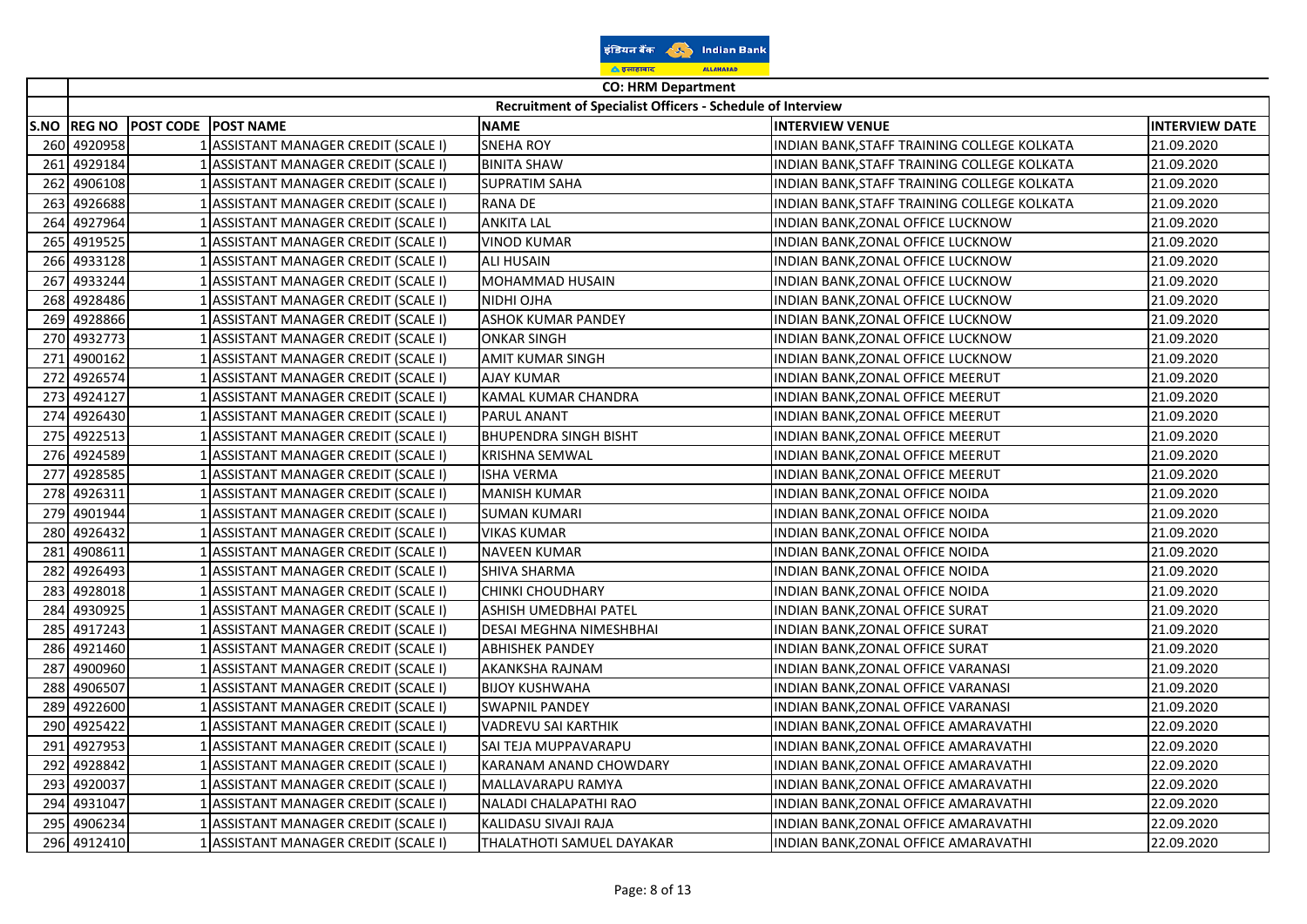| इंडियन बैंक        |  |                  | <b>Indian Bank</b> |  |
|--------------------|--|------------------|--------------------|--|
| <u>ि इलाहाबाद</u>  |  | <b>ALLAHABAD</b> |                    |  |
| CO: UDM Donartmant |  |                  |                    |  |

|      | <b>CO: HRM Department</b> |                     |                                      |                                                            |                                             |                       |
|------|---------------------------|---------------------|--------------------------------------|------------------------------------------------------------|---------------------------------------------|-----------------------|
|      |                           |                     |                                      | Recruitment of Specialist Officers - Schedule of Interview |                                             |                       |
| S.NO | <b>REG NO</b>             | POST CODE POST NAME |                                      | <b>NAME</b>                                                | <b>INTERVIEW VENUE</b>                      | <b>INTERVIEW DATE</b> |
|      | 260 4920958               |                     | 1 ASSISTANT MANAGER CREDIT (SCALE I) | <b>SNEHA ROY</b>                                           | INDIAN BANK, STAFF TRAINING COLLEGE KOLKATA | 21.09.2020            |
| 261  | 4929184                   |                     | 1 ASSISTANT MANAGER CREDIT (SCALE I) | <b>BINITA SHAW</b>                                         | INDIAN BANK, STAFF TRAINING COLLEGE KOLKATA | 21.09.2020            |
| 262  | 4906108                   |                     | 1 ASSISTANT MANAGER CREDIT (SCALE I) | <b>SUPRATIM SAHA</b>                                       | INDIAN BANK, STAFF TRAINING COLLEGE KOLKATA | 21.09.2020            |
| 263  | 4926688                   |                     | ASSISTANT MANAGER CREDIT (SCALE I)   | RANA DE                                                    | INDIAN BANK, STAFF TRAINING COLLEGE KOLKATA | 21.09.2020            |
| 264  | 4927964                   |                     | 1 ASSISTANT MANAGER CREDIT (SCALE I) | <b>ANKITA LAL</b>                                          | INDIAN BANK,ZONAL OFFICE LUCKNOW            | 21.09.2020            |
| 265  | 4919525                   |                     | 1 ASSISTANT MANAGER CREDIT (SCALE I) | VINOD KUMAR                                                | INDIAN BANK, ZONAL OFFICE LUCKNOW           | 21.09.2020            |
|      | 266 4933128               |                     | 1 ASSISTANT MANAGER CREDIT (SCALE I) | <b>ALI HUSAIN</b>                                          | INDIAN BANK, ZONAL OFFICE LUCKNOW           | 21.09.2020            |
| 267  | 4933244                   |                     | 1 ASSISTANT MANAGER CREDIT (SCALE I) | MOHAMMAD HUSAIN                                            | INDIAN BANK, ZONAL OFFICE LUCKNOW           | 21.09.2020            |
| 268  | 4928486                   |                     | 1 ASSISTANT MANAGER CREDIT (SCALE I) | NIDHI OJHA                                                 | INDIAN BANK, ZONAL OFFICE LUCKNOW           | 21.09.2020            |
| 269  | 4928866                   |                     | 1 ASSISTANT MANAGER CREDIT (SCALE I) | <b>ASHOK KUMAR PANDEY</b>                                  | INDIAN BANK, ZONAL OFFICE LUCKNOW           | 21.09.2020            |
|      | 270 4932773               |                     | ASSISTANT MANAGER CREDIT (SCALE I)   | <b>ONKAR SINGH</b>                                         | INDIAN BANK, ZONAL OFFICE LUCKNOW           | 21.09.2020            |
| 271  | 4900162                   |                     | ASSISTANT MANAGER CREDIT (SCALE I)   | AMIT KUMAR SINGH                                           | INDIAN BANK, ZONAL OFFICE LUCKNOW           | 21.09.2020            |
| 272  | 4926574                   |                     | 1 ASSISTANT MANAGER CREDIT (SCALE I) | <b>AJAY KUMAR</b>                                          | INDIAN BANK, ZONAL OFFICE MEERUT            | 21.09.2020            |
| 273  | 4924127                   |                     | 1 ASSISTANT MANAGER CREDIT (SCALE I) | KAMAL KUMAR CHANDRA                                        | INDIAN BANK, ZONAL OFFICE MEERUT            | 21.09.2020            |
| 274  | 4926430                   |                     | 1 ASSISTANT MANAGER CREDIT (SCALE I) | PARUL ANANT                                                | INDIAN BANK, ZONAL OFFICE MEERUT            | 21.09.2020            |
| 275  | 4922513                   |                     | 1 ASSISTANT MANAGER CREDIT (SCALE I) | <b>BHUPENDRA SINGH BISHT</b>                               | INDIAN BANK, ZONAL OFFICE MEERUT            | 21.09.2020            |
| 276  | 4924589                   |                     | 1 ASSISTANT MANAGER CREDIT (SCALE I) | KRISHNA SEMWAL                                             | INDIAN BANK, ZONAL OFFICE MEERUT            | 21.09.2020            |
| 277  | 4928585                   |                     | ASSISTANT MANAGER CREDIT (SCALE I)   | <b>ISHA VERMA</b>                                          | INDIAN BANK, ZONAL OFFICE MEERUT            | 21.09.2020            |
| 278  | 4926311                   |                     | ASSISTANT MANAGER CREDIT (SCALE I)   | <b>MANISH KUMAR</b>                                        | INDIAN BANK, ZONAL OFFICE NOIDA             | 21.09.2020            |
| 279  | 4901944                   |                     | ASSISTANT MANAGER CREDIT (SCALE I)   | <b>SUMAN KUMARI</b>                                        | INDIAN BANK, ZONAL OFFICE NOIDA             | 21.09.2020            |
| 280  | 4926432                   |                     | 1 ASSISTANT MANAGER CREDIT (SCALE I) | <b>VIKAS KUMAR</b>                                         | INDIAN BANK, ZONAL OFFICE NOIDA             | 21.09.2020            |
| 281  | 4908611                   |                     | 1 ASSISTANT MANAGER CREDIT (SCALE I) | <b>NAVEEN KUMAR</b>                                        | INDIAN BANK, ZONAL OFFICE NOIDA             | 21.09.2020            |
| 282  | 4926493                   |                     | 1 ASSISTANT MANAGER CREDIT (SCALE I) | SHIVA SHARMA                                               | INDIAN BANK, ZONAL OFFICE NOIDA             | 21.09.2020            |
| 283  | 4928018                   |                     | 1 ASSISTANT MANAGER CREDIT (SCALE I) | CHINKI CHOUDHARY                                           | INDIAN BANK, ZONAL OFFICE NOIDA             | 21.09.2020            |
| 284  | 4930925                   |                     | ASSISTANT MANAGER CREDIT (SCALE I)   | ASHISH UMEDBHAI PATEL                                      | INDIAN BANK, ZONAL OFFICE SURAT             | 21.09.2020            |
| 285  | 4917243                   |                     | ASSISTANT MANAGER CREDIT (SCALE I)   | DESAI MEGHNA NIMESHBHAI                                    | INDIAN BANK, ZONAL OFFICE SURAT             | 21.09.2020            |
| 286  | 4921460                   |                     | ASSISTANT MANAGER CREDIT (SCALE I)   | <b>ABHISHEK PANDEY</b>                                     | INDIAN BANK, ZONAL OFFICE SURAT             | 21.09.2020            |
| 287  | 4900960                   |                     | 1 ASSISTANT MANAGER CREDIT (SCALE I) | AKANKSHA RAJNAM                                            | INDIAN BANK, ZONAL OFFICE VARANASI          | 21.09.2020            |
| 288  | 4906507                   |                     | 1 ASSISTANT MANAGER CREDIT (SCALE I) | <b>BIJOY KUSHWAHA</b>                                      | INDIAN BANK, ZONAL OFFICE VARANASI          | 21.09.2020            |
| 289  | 4922600                   |                     | 1 ASSISTANT MANAGER CREDIT (SCALE I) | <b>SWAPNIL PANDEY</b>                                      | INDIAN BANK, ZONAL OFFICE VARANASI          | 21.09.2020            |
| 290  | 4925422                   |                     | 1 ASSISTANT MANAGER CREDIT (SCALE I) | VADREVU SAI KARTHIK                                        | INDIAN BANK, ZONAL OFFICE AMARAVATHI        | 22.09.2020            |
| 291  | 4927953                   |                     | ASSISTANT MANAGER CREDIT (SCALE I)   | SAI TEJA MUPPAVARAPU                                       | INDIAN BANK, ZONAL OFFICE AMARAVATHI        | 22.09.2020            |
| 292  | 4928842                   |                     | ASSISTANT MANAGER CREDIT (SCALE I)   | KARANAM ANAND CHOWDARY                                     | INDIAN BANK, ZONAL OFFICE AMARAVATHI        | 22.09.2020            |
| 293  | 4920037                   |                     | ASSISTANT MANAGER CREDIT (SCALE I)   | MALLAVARAPU RAMYA                                          | INDIAN BANK, ZONAL OFFICE AMARAVATHI        | 22.09.2020            |
| 294  | 4931047                   |                     | 1 ASSISTANT MANAGER CREDIT (SCALE I) | NALADI CHALAPATHI RAO                                      | INDIAN BANK, ZONAL OFFICE AMARAVATHI        | 22.09.2020            |
| 295  | 4906234                   |                     | 1 ASSISTANT MANAGER CREDIT (SCALE I) | KALIDASU SIVAJI RAJA                                       | INDIAN BANK, ZONAL OFFICE AMARAVATHI        | 22.09.2020            |
|      | 296 4912410               |                     | 1 ASSISTANT MANAGER CREDIT (SCALE I) | THALATHOTI SAMUEL DAYAKAR                                  | INDIAN BANK, ZONAL OFFICE AMARAVATHI        | 22.09.2020            |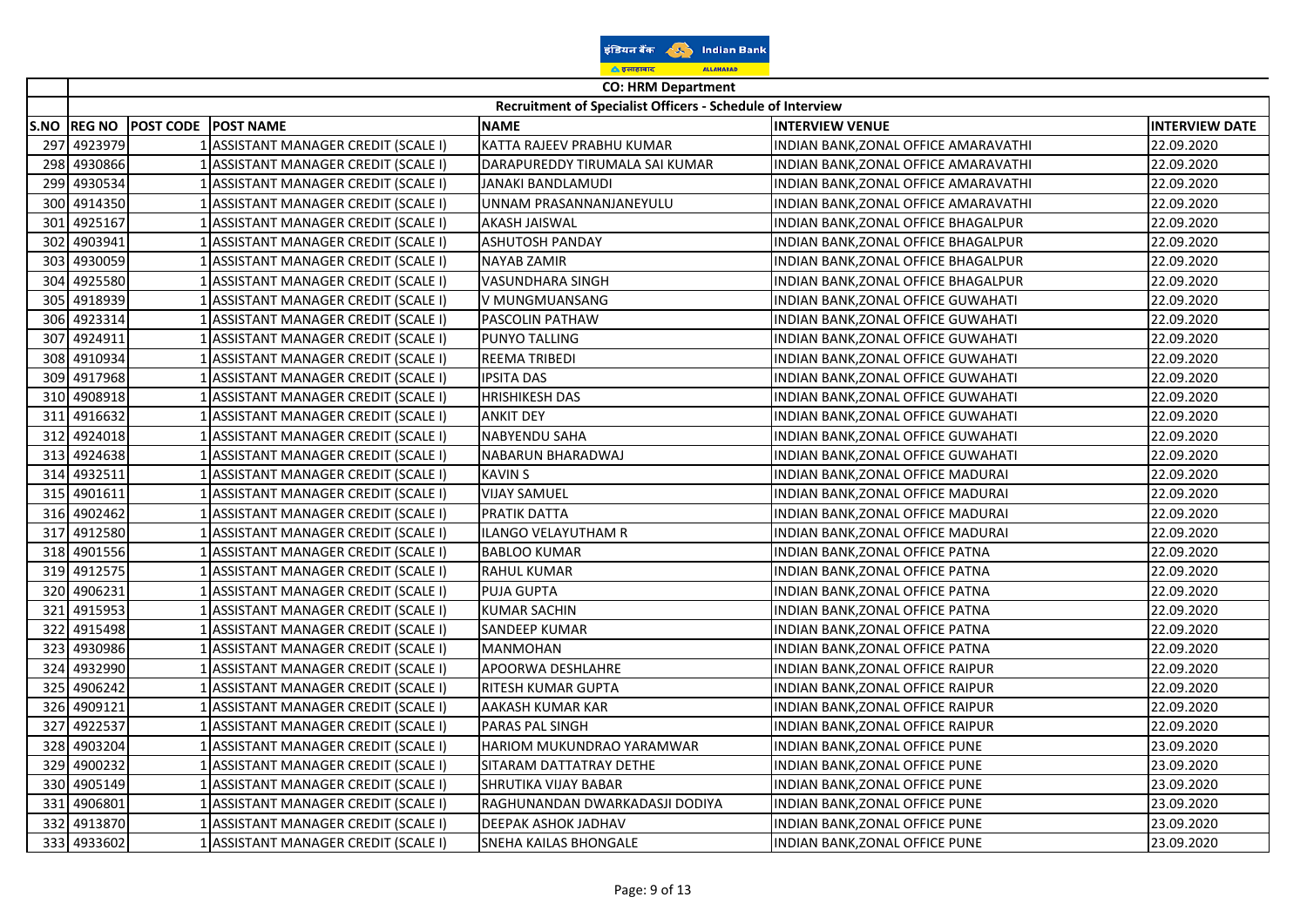| इंडियन बैंक         |  | <b>Indian Bank</b> |  |
|---------------------|--|--------------------|--|
| <u>ि इलाहाबाद</u>   |  | <b>ALLAHABAD</b>   |  |
| CO. UDM Donartwarth |  |                    |  |

 $\overline{ }$ ᅮ

|     | CO: HRIVI Department<br>Recruitment of Specialist Officers - Schedule of Interview |                                 |                                      |                                |                                      |                       |  |
|-----|------------------------------------------------------------------------------------|---------------------------------|--------------------------------------|--------------------------------|--------------------------------------|-----------------------|--|
|     |                                                                                    | S.NO REG NO POST CODE POST NAME |                                      | <b>NAME</b>                    | <b>INTERVIEW VENUE</b>               | <b>INTERVIEW DATE</b> |  |
| 297 | 4923979                                                                            |                                 | 1 ASSISTANT MANAGER CREDIT (SCALE I) | KATTA RAJEEV PRABHU KUMAR      | INDIAN BANK, ZONAL OFFICE AMARAVATHI | 22.09.2020            |  |
| 298 | 4930866                                                                            |                                 | 1 ASSISTANT MANAGER CREDIT (SCALE I) | DARAPUREDDY TIRUMALA SAI KUMAR | INDIAN BANK, ZONAL OFFICE AMARAVATHI | 22.09.2020            |  |
| 299 | 4930534                                                                            |                                 | 1 ASSISTANT MANAGER CREDIT (SCALE I) | JANAKI BANDLAMUDI              | INDIAN BANK, ZONAL OFFICE AMARAVATHI | 22.09.2020            |  |
| 300 | 4914350                                                                            |                                 | ASSISTANT MANAGER CREDIT (SCALE I)   | UNNAM PRASANNANJANEYULU        | INDIAN BANK, ZONAL OFFICE AMARAVATHI | 22.09.2020            |  |
| 301 | 4925167                                                                            |                                 | 1 ASSISTANT MANAGER CREDIT (SCALE I) | AKASH JAISWAL                  | INDIAN BANK, ZONAL OFFICE BHAGALPUR  | 22.09.2020            |  |
| 302 | 4903941                                                                            |                                 | ASSISTANT MANAGER CREDIT (SCALE I)   | <b>ASHUTOSH PANDAY</b>         | INDIAN BANK, ZONAL OFFICE BHAGALPUR  | 22.09.2020            |  |
| 303 | 4930059                                                                            |                                 | 1 ASSISTANT MANAGER CREDIT (SCALE I) | <b>NAYAB ZAMIR</b>             | INDIAN BANK, ZONAL OFFICE BHAGALPUR  | 22.09.2020            |  |
| 304 | 4925580                                                                            |                                 | 1 ASSISTANT MANAGER CREDIT (SCALE I) | <b>VASUNDHARA SINGH</b>        | INDIAN BANK, ZONAL OFFICE BHAGALPUR  | 22.09.2020            |  |
| 305 | 4918939                                                                            |                                 | 1 ASSISTANT MANAGER CREDIT (SCALE I) | V MUNGMUANSANG                 | INDIAN BANK, ZONAL OFFICE GUWAHATI   | 22.09.2020            |  |
| 306 | 4923314                                                                            |                                 | 1 ASSISTANT MANAGER CREDIT (SCALE I) | PASCOLIN PATHAW                | INDIAN BANK, ZONAL OFFICE GUWAHATI   | 22.09.2020            |  |
| 307 | 4924911                                                                            |                                 | 1 ASSISTANT MANAGER CREDIT (SCALE I) | PUNYO TALLING                  | INDIAN BANK, ZONAL OFFICE GUWAHATI   | 22.09.2020            |  |
| 308 | 4910934                                                                            |                                 | 1 ASSISTANT MANAGER CREDIT (SCALE I) | <b>REEMA TRIBEDI</b>           | INDIAN BANK, ZONAL OFFICE GUWAHATI   | 22.09.2020            |  |
| 309 | 4917968                                                                            |                                 | ASSISTANT MANAGER CREDIT (SCALE I)   | <b>IPSITA DAS</b>              | INDIAN BANK, ZONAL OFFICE GUWAHATI   | 22.09.2020            |  |
| 310 | 4908918                                                                            |                                 | 1 ASSISTANT MANAGER CREDIT (SCALE I) | <b>HRISHIKESH DAS</b>          | INDIAN BANK, ZONAL OFFICE GUWAHATI   | 22.09.2020            |  |
| 311 | 4916632                                                                            |                                 | ASSISTANT MANAGER CREDIT (SCALE I)   | <b>ANKIT DEY</b>               | INDIAN BANK, ZONAL OFFICE GUWAHATI   | 22.09.2020            |  |
| 312 | 4924018                                                                            |                                 | 1 ASSISTANT MANAGER CREDIT (SCALE I) | <b>NABYENDU SAHA</b>           | INDIAN BANK,ZONAL OFFICE GUWAHATI    | 22.09.2020            |  |
| 313 | 4924638                                                                            |                                 | 1 ASSISTANT MANAGER CREDIT (SCALE I) | NABARUN BHARADWAJ              | INDIAN BANK, ZONAL OFFICE GUWAHATI   | 22.09.2020            |  |
| 314 | 4932511                                                                            |                                 | 1 ASSISTANT MANAGER CREDIT (SCALE I) | <b>KAVIN S</b>                 | INDIAN BANK, ZONAL OFFICE MADURAI    | 22.09.2020            |  |
| 315 | 4901611                                                                            |                                 | 1 ASSISTANT MANAGER CREDIT (SCALE I) | <b>VIJAY SAMUEL</b>            | INDIAN BANK, ZONAL OFFICE MADURAI    | 22.09.2020            |  |
| 316 | 4902462                                                                            |                                 | 1 ASSISTANT MANAGER CREDIT (SCALE I) | PRATIK DATTA                   | INDIAN BANK, ZONAL OFFICE MADURAI    | 22.09.2020            |  |
| 317 | 4912580                                                                            |                                 | 1 ASSISTANT MANAGER CREDIT (SCALE I) | <b>ILANGO VELAYUTHAM R</b>     | INDIAN BANK, ZONAL OFFICE MADURAI    | 22.09.2020            |  |
| 318 | 4901556                                                                            |                                 | 1 ASSISTANT MANAGER CREDIT (SCALE I) | <b>BABLOO KUMAR</b>            | INDIAN BANK, ZONAL OFFICE PATNA      | 22.09.2020            |  |
| 319 | 4912575                                                                            |                                 | 1 ASSISTANT MANAGER CREDIT (SCALE I) | RAHUL KUMAR                    | INDIAN BANK, ZONAL OFFICE PATNA      | 22.09.2020            |  |
| 320 | 4906231                                                                            |                                 | ASSISTANT MANAGER CREDIT (SCALE I)   | PUJA GUPTA                     | INDIAN BANK, ZONAL OFFICE PATNA      | 22.09.2020            |  |
| 321 | 4915953                                                                            |                                 | 1 ASSISTANT MANAGER CREDIT (SCALE I) | <b>KUMAR SACHIN</b>            | INDIAN BANK, ZONAL OFFICE PATNA      | 22.09.2020            |  |
| 322 | 4915498                                                                            |                                 | 1 ASSISTANT MANAGER CREDIT (SCALE I) | SANDEEP KUMAR                  | INDIAN BANK, ZONAL OFFICE PATNA      | 22.09.2020            |  |
| 323 | 4930986                                                                            |                                 | 1 ASSISTANT MANAGER CREDIT (SCALE I) | <b>MANMOHAN</b>                | INDIAN BANK, ZONAL OFFICE PATNA      | 22.09.2020            |  |
| 324 | 4932990                                                                            |                                 | 1 ASSISTANT MANAGER CREDIT (SCALE I) | APOORWA DESHLAHRE              | INDIAN BANK, ZONAL OFFICE RAIPUR     | 22.09.2020            |  |
| 325 | 4906242                                                                            |                                 | 1 ASSISTANT MANAGER CREDIT (SCALE I) | RITESH KUMAR GUPTA             | INDIAN BANK, ZONAL OFFICE RAIPUR     | 22.09.2020            |  |
| 326 | 4909121                                                                            |                                 | 1 ASSISTANT MANAGER CREDIT (SCALE I) | AAKASH KUMAR KAR               | INDIAN BANK, ZONAL OFFICE RAIPUR     | 22.09.2020            |  |
| 327 | 4922537                                                                            |                                 | 1 ASSISTANT MANAGER CREDIT (SCALE I) | PARAS PAL SINGH                | INDIAN BANK, ZONAL OFFICE RAIPUR     | 22.09.2020            |  |
| 328 | 4903204                                                                            |                                 | 1 ASSISTANT MANAGER CREDIT (SCALE I) | HARIOM MUKUNDRAO YARAMWAR      | INDIAN BANK, ZONAL OFFICE PUNE       | 23.09.2020            |  |
| 329 | 4900232                                                                            |                                 | 1 ASSISTANT MANAGER CREDIT (SCALE I) | SITARAM DATTATRAY DETHE        | INDIAN BANK, ZONAL OFFICE PUNE       | 23.09.2020            |  |
| 330 | 4905149                                                                            |                                 | 1 ASSISTANT MANAGER CREDIT (SCALE I) | SHRUTIKA VIJAY BABAR           | INDIAN BANK, ZONAL OFFICE PUNE       | 23.09.2020            |  |
| 331 | 4906801                                                                            |                                 | 1 ASSISTANT MANAGER CREDIT (SCALE I) | RAGHUNANDAN DWARKADASJI DODIYA | INDIAN BANK, ZONAL OFFICE PUNE       | 23.09.2020            |  |
| 332 | 4913870                                                                            |                                 | 1 ASSISTANT MANAGER CREDIT (SCALE I) | DEEPAK ASHOK JADHAV            | INDIAN BANK, ZONAL OFFICE PUNE       | 23.09.2020            |  |
|     | 333 4933602                                                                        |                                 | 1 ASSISTANT MANAGER CREDIT (SCALE I) | SNEHA KAILAS BHONGALE          | INDIAN BANK, ZONAL OFFICE PUNE       | 23.09.2020            |  |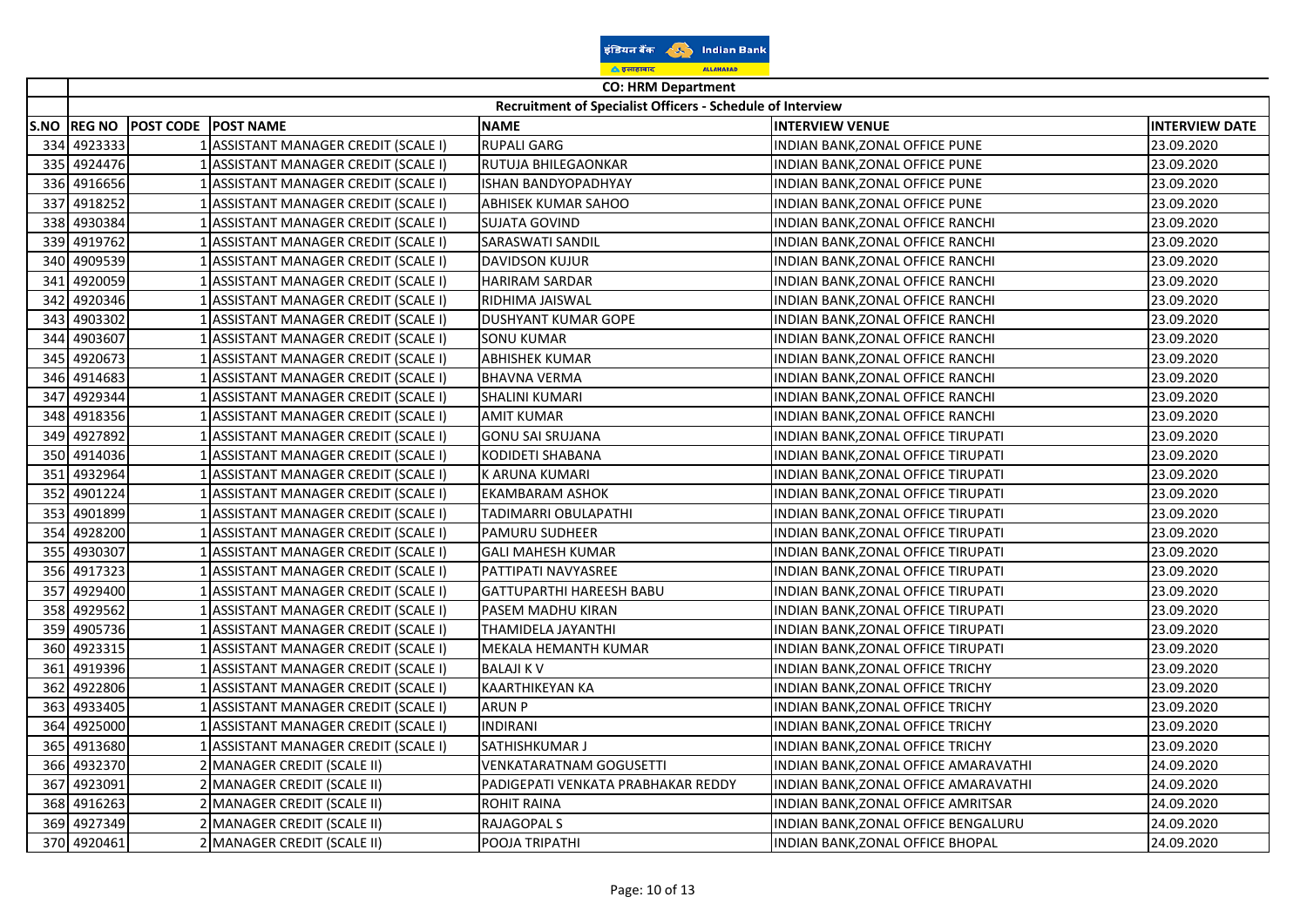| इंडियन बैंक        |  | <b>Indian Bank</b> |  |  |
|--------------------|--|--------------------|--|--|
| <u>ि इलाहाबाद</u>  |  | <b>ALLAHABAD</b>   |  |  |
| CO: UDM Donartmant |  |                    |  |  |

|      | <b>CO: HRM Department</b> |                            |                                      |                                                            |                                     |                       |
|------|---------------------------|----------------------------|--------------------------------------|------------------------------------------------------------|-------------------------------------|-----------------------|
|      |                           |                            |                                      | Recruitment of Specialist Officers - Schedule of Interview |                                     |                       |
| S.NO | <b>REG NO</b>             | <b>POST CODE POST NAME</b> |                                      | <b>NAME</b>                                                | <b>INTERVIEW VENUE</b>              | <b>INTERVIEW DATE</b> |
| 334  | 4923333                   |                            | 1 ASSISTANT MANAGER CREDIT (SCALE I) | <b>RUPALI GARG</b>                                         | INDIAN BANK, ZONAL OFFICE PUNE      | 23.09.2020            |
| 335  | 4924476                   |                            | 1 ASSISTANT MANAGER CREDIT (SCALE I) | RUTUJA BHILEGAONKAR                                        | INDIAN BANK, ZONAL OFFICE PUNE      | 23.09.2020            |
| 336  | 4916656                   |                            | 1 ASSISTANT MANAGER CREDIT (SCALE I) | ISHAN BANDYOPADHYAY                                        | INDIAN BANK, ZONAL OFFICE PUNE      | 23.09.2020            |
| 337  | 4918252                   |                            | ASSISTANT MANAGER CREDIT (SCALE I)   | ABHISEK KUMAR SAHOO                                        | INDIAN BANK,ZONAL OFFICE PUNE       | 23.09.2020            |
| 338  | 4930384                   |                            | 1 ASSISTANT MANAGER CREDIT (SCALE I) | SUJATA GOVIND                                              | INDIAN BANK, ZONAL OFFICE RANCHI    | 23.09.2020            |
| 339  | 4919762                   |                            | 1 ASSISTANT MANAGER CREDIT (SCALE I) | SARASWATI SANDIL                                           | INDIAN BANK, ZONAL OFFICE RANCHI    | 23.09.2020            |
| 340  | 4909539                   |                            | 1 ASSISTANT MANAGER CREDIT (SCALE I) | <b>DAVIDSON KUJUR</b>                                      | INDIAN BANK, ZONAL OFFICE RANCHI    | 23.09.2020            |
| 341  | 4920059                   |                            | 1 ASSISTANT MANAGER CREDIT (SCALE I) | <b>HARIRAM SARDAR</b>                                      | INDIAN BANK, ZONAL OFFICE RANCHI    | 23.09.2020            |
| 342  | 4920346                   |                            | 1 ASSISTANT MANAGER CREDIT (SCALE I) | RIDHIMA JAISWAL                                            | INDIAN BANK, ZONAL OFFICE RANCHI    | 23.09.2020            |
| 343  | 4903302                   |                            | 1 ASSISTANT MANAGER CREDIT (SCALE I) | <b>DUSHYANT KUMAR GOPE</b>                                 | INDIAN BANK, ZONAL OFFICE RANCHI    | 23.09.2020            |
| 344  | 4903607                   |                            | 1 ASSISTANT MANAGER CREDIT (SCALE I) | <b>SONU KUMAR</b>                                          | INDIAN BANK, ZONAL OFFICE RANCHI    | 23.09.2020            |
| 345  | 4920673                   |                            | 1 ASSISTANT MANAGER CREDIT (SCALE I) | <b>ABHISHEK KUMAR</b>                                      | INDIAN BANK, ZONAL OFFICE RANCHI    | 23.09.2020            |
| 346  | 4914683                   |                            | 1 ASSISTANT MANAGER CREDIT (SCALE I) | <b>BHAVNA VERMA</b>                                        | INDIAN BANK, ZONAL OFFICE RANCHI    | 23.09.2020            |
| 347  | 4929344                   |                            | 1 ASSISTANT MANAGER CREDIT (SCALE I) | <b>SHALINI KUMARI</b>                                      | INDIAN BANK, ZONAL OFFICE RANCHI    | 23.09.2020            |
| 348  | 4918356                   |                            | 1 ASSISTANT MANAGER CREDIT (SCALE I) | <b>AMIT KUMAR</b>                                          | INDIAN BANK,ZONAL OFFICE RANCHI     | 23.09.2020            |
| 349  | 4927892                   |                            | 1 ASSISTANT MANAGER CREDIT (SCALE I) | <b>GONU SAI SRUJANA</b>                                    | INDIAN BANK,ZONAL OFFICE TIRUPATI   | 23.09.2020            |
| 350  | 4914036                   |                            | 1 ASSISTANT MANAGER CREDIT (SCALE I) | KODIDETI SHABANA                                           | INDIAN BANK, ZONAL OFFICE TIRUPATI  | 23.09.2020            |
| 351  | 4932964                   |                            | 1 ASSISTANT MANAGER CREDIT (SCALE I) | K ARUNA KUMARI                                             | INDIAN BANK, ZONAL OFFICE TIRUPATI  | 23.09.2020            |
| 352  | 4901224                   |                            | ASSISTANT MANAGER CREDIT (SCALE I)   | EKAMBARAM ASHOK                                            | INDIAN BANK,ZONAL OFFICE TIRUPATI   | 23.09.2020            |
| 353  | 4901899                   |                            | 1 ASSISTANT MANAGER CREDIT (SCALE I) | TADIMARRI OBULAPATHI                                       | INDIAN BANK,ZONAL OFFICE TIRUPATI   | 23.09.2020            |
| 354  | 4928200                   |                            | 1 ASSISTANT MANAGER CREDIT (SCALE I) | <b>PAMURU SUDHEER</b>                                      | INDIAN BANK, ZONAL OFFICE TIRUPATI  | 23.09.2020            |
| 355  | 4930307                   |                            | 1 ASSISTANT MANAGER CREDIT (SCALE I) | <b>GALI MAHESH KUMAR</b>                                   | INDIAN BANK, ZONAL OFFICE TIRUPATI  | 23.09.2020            |
| 356  | 4917323                   |                            | 1 ASSISTANT MANAGER CREDIT (SCALE I) | PATTIPATI NAVYASREE                                        | INDIAN BANK, ZONAL OFFICE TIRUPATI  | 23.09.2020            |
| 357  | 4929400                   |                            | 1 ASSISTANT MANAGER CREDIT (SCALE I) | <b>GATTUPARTHI HAREESH BABU</b>                            | INDIAN BANK, ZONAL OFFICE TIRUPATI  | 23.09.2020            |
| 358  | 4929562                   |                            | 1 ASSISTANT MANAGER CREDIT (SCALE I) | PASEM MADHU KIRAN                                          | INDIAN BANK, ZONAL OFFICE TIRUPATI  | 23.09.2020            |
| 359  | 4905736                   |                            | LASSISTANT MANAGER CREDIT (SCALE I)  | THAMIDELA JAYANTHI                                         | INDIAN BANK,ZONAL OFFICE TIRUPATI   | 23.09.2020            |
| 360  | 4923315                   |                            | 1 ASSISTANT MANAGER CREDIT (SCALE I) | MEKALA HEMANTH KUMAR                                       | INDIAN BANK, ZONAL OFFICE TIRUPATI  | 23.09.2020            |
| 361  | 4919396                   |                            | 1 ASSISTANT MANAGER CREDIT (SCALE I) | <b>BALAJI K V</b>                                          | INDIAN BANK, ZONAL OFFICE TRICHY    | 23.09.2020            |
| 362  | 4922806                   |                            | 1 ASSISTANT MANAGER CREDIT (SCALE I) | <b>KAARTHIKEYAN KA</b>                                     | INDIAN BANK, ZONAL OFFICE TRICHY    | 23.09.2020            |
| 363  | 4933405                   |                            | 1 ASSISTANT MANAGER CREDIT (SCALE I) | <b>ARUN P</b>                                              | INDIAN BANK,ZONAL OFFICE TRICHY     | 23.09.2020            |
| 364  | 4925000                   |                            | 1 ASSISTANT MANAGER CREDIT (SCALE I) | <b>INDIRANI</b>                                            | INDIAN BANK, ZONAL OFFICE TRICHY    | 23.09.2020            |
| 365  | 4913680                   |                            | 1 ASSISTANT MANAGER CREDIT (SCALE I) | SATHISHKUMAR J                                             | INDIAN BANK, ZONAL OFFICE TRICHY    | 23.09.2020            |
| 366  | 4932370                   |                            | 2 MANAGER CREDIT (SCALE II)          | VENKATARATNAM GOGUSETTI                                    | INDIAN BANK,ZONAL OFFICE AMARAVATHI | 24.09.2020            |
| 367  | 4923091                   |                            | 2 MANAGER CREDIT (SCALE II)          | PADIGEPATI VENKATA PRABHAKAR REDDY                         | INDIAN BANK,ZONAL OFFICE AMARAVATHI | 24.09.2020            |
|      | 368 4916263               |                            | 2 MANAGER CREDIT (SCALE II)          | <b>ROHIT RAINA</b>                                         | INDIAN BANK, ZONAL OFFICE AMRITSAR  | 24.09.2020            |
| 369  | 4927349                   |                            | 2 MANAGER CREDIT (SCALE II)          | RAJAGOPAL S                                                | INDIAN BANK, ZONAL OFFICE BENGALURU | 24.09.2020            |
|      | 370 4920461               |                            | 2 MANAGER CREDIT (SCALE II)          | POOJA TRIPATHI                                             | INDIAN BANK, ZONAL OFFICE BHOPAL    | 24.09.2020            |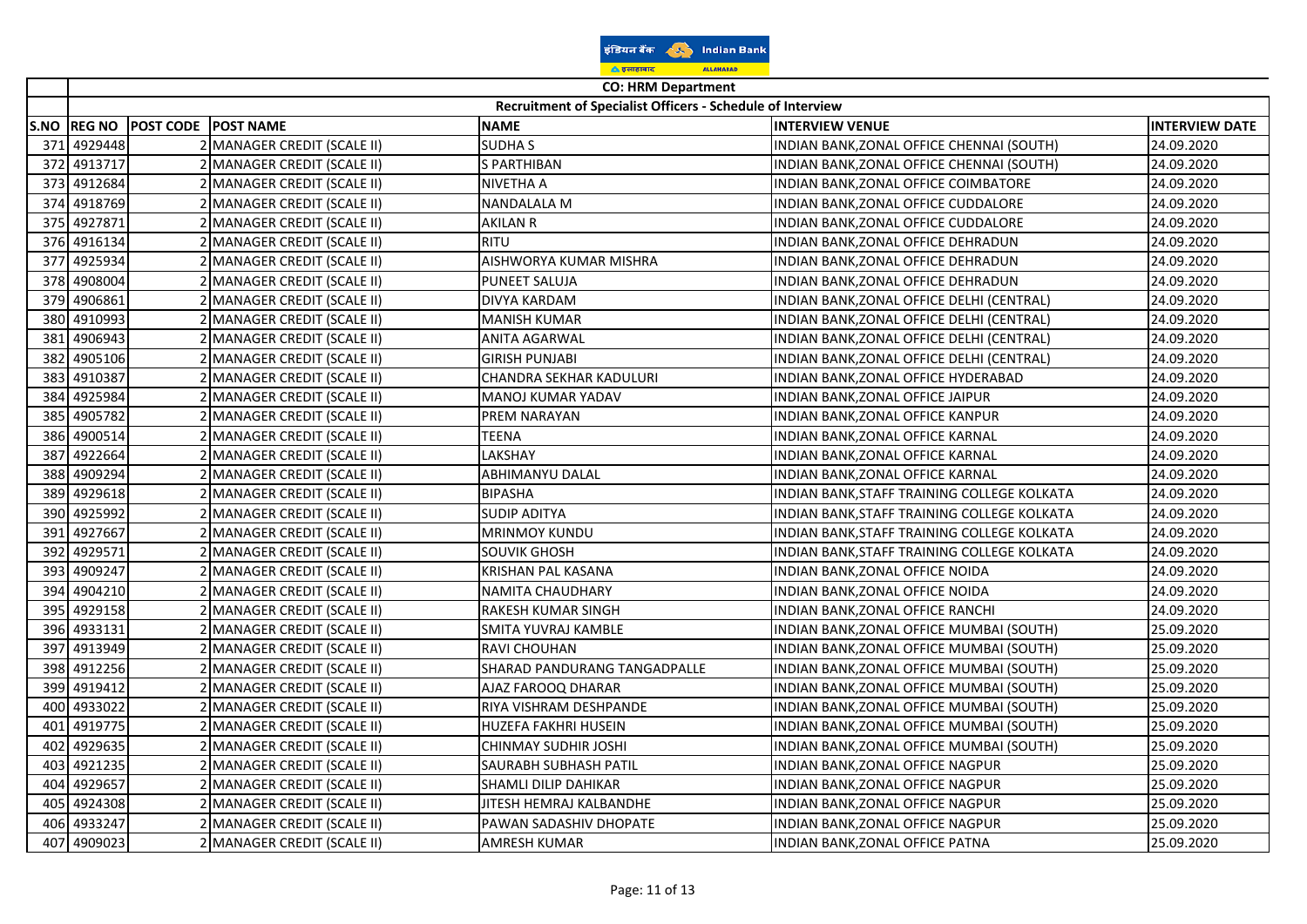|      |                                                                                         |                                      | ▲ इलाहाबाद<br><b>ALLAHABAD</b> |                                             |                       |  |  |  |  |  |
|------|-----------------------------------------------------------------------------------------|--------------------------------------|--------------------------------|---------------------------------------------|-----------------------|--|--|--|--|--|
|      | <b>CO: HRM Department</b><br>Recruitment of Specialist Officers - Schedule of Interview |                                      |                                |                                             |                       |  |  |  |  |  |
|      |                                                                                         |                                      |                                |                                             |                       |  |  |  |  |  |
|      | S.NO  REG NO                                                                            | <b>POST CODE</b><br><b>POST NAME</b> | <b>NAME</b>                    | <b>INTERVIEW VENUE</b>                      | <b>INTERVIEW DATE</b> |  |  |  |  |  |
| 371  | 4929448                                                                                 | MANAGER CREDIT (SCALE II)            | <b>SUDHAS</b>                  | INDIAN BANK, ZONAL OFFICE CHENNAI (SOUTH)   | 24.09.2020            |  |  |  |  |  |
| 372  | 4913717                                                                                 | <b>MANAGER CREDIT (SCALE II)</b>     | S PARTHIBAN                    | INDIAN BANK, ZONAL OFFICE CHENNAI (SOUTH)   | 24.09.2020            |  |  |  |  |  |
|      | 373 4912684                                                                             | <b>MANAGER CREDIT (SCALE II)</b>     | NIVETHA A                      | INDIAN BANK,ZONAL OFFICE COIMBATORE         | 24.09.2020            |  |  |  |  |  |
| 374  | 4918769                                                                                 | MANAGER CREDIT (SCALE II)            | NANDALALA M                    | INDIAN BANK,ZONAL OFFICE CUDDALORE          | 24.09.2020            |  |  |  |  |  |
|      | 375 4927871                                                                             | MANAGER CREDIT (SCALE II)            | AKILAN R                       | INDIAN BANK,ZONAL OFFICE CUDDALORE          | 24.09.2020            |  |  |  |  |  |
|      | 376 4916134                                                                             | MANAGER CREDIT (SCALE II)            | <b>RITU</b>                    | INDIAN BANK,ZONAL OFFICE DEHRADUN           | 24.09.2020            |  |  |  |  |  |
| 377  | 4925934                                                                                 | MANAGER CREDIT (SCALE II)            | AISHWORYA KUMAR MISHRA         | INDIAN BANK,ZONAL OFFICE DEHRADUN           | 24.09.2020            |  |  |  |  |  |
| 378  | 4908004                                                                                 | MANAGER CREDIT (SCALE II)            | PUNEET SALUJA                  | INDIAN BANK, ZONAL OFFICE DEHRADUN          | 24.09.2020            |  |  |  |  |  |
| 379  | 4906861                                                                                 | MANAGER CREDIT (SCALE II)            | DIVYA KARDAM                   | INDIAN BANK,ZONAL OFFICE DELHI (CENTRAL)    | 24.09.2020            |  |  |  |  |  |
| 380  | 4910993                                                                                 | MANAGER CREDIT (SCALE II)            | MANISH KUMAR                   | INDIAN BANK,ZONAL OFFICE DELHI (CENTRAL)    | 24.09.2020            |  |  |  |  |  |
| 381  | 4906943                                                                                 | MANAGER CREDIT (SCALE II)            | ANITA AGARWAL                  | INDIAN BANK, ZONAL OFFICE DELHI (CENTRAL)   | 24.09.2020            |  |  |  |  |  |
| 382  | 4905106                                                                                 | MANAGER CREDIT (SCALE II)            | <b>GIRISH PUNJABI</b>          | INDIAN BANK, ZONAL OFFICE DELHI (CENTRAL)   | 24.09.2020            |  |  |  |  |  |
|      | 383 4910387                                                                             | 2 MANAGER CREDIT (SCALE II)          | CHANDRA SEKHAR KADULURI        | INDIAN BANK, ZONAL OFFICE HYDERABAD         | 24.09.2020            |  |  |  |  |  |
| 384  | 4925984                                                                                 | MANAGER CREDIT (SCALE II)            | MANOJ KUMAR YADAV              | INDIAN BANK, ZONAL OFFICE JAIPUR            | 24.09.2020            |  |  |  |  |  |
| 385  | 4905782                                                                                 | MANAGER CREDIT (SCALE II)            | PREM NARAYAN                   | INDIAN BANK,ZONAL OFFICE KANPUR             | 24.09.2020            |  |  |  |  |  |
| 386  | 4900514                                                                                 | <b>MANAGER CREDIT (SCALE II)</b>     | TEENA                          | INDIAN BANK,ZONAL OFFICE KARNAL             | 24.09.2020            |  |  |  |  |  |
| 387  | 4922664                                                                                 | MANAGER CREDIT (SCALE II)            | LAKSHAY                        | INDIAN BANK,ZONAL OFFICE KARNAL             | 24.09.2020            |  |  |  |  |  |
| 388  | 4909294                                                                                 | MANAGER CREDIT (SCALE II)            | ABHIMANYU DALAL                | INDIAN BANK,ZONAL OFFICE KARNAL             | 24.09.2020            |  |  |  |  |  |
| 389  | 4929618                                                                                 | MANAGER CREDIT (SCALE II)            | <b>BIPASHA</b>                 | INDIAN BANK,STAFF TRAINING COLLEGE KOLKATA  | 24.09.2020            |  |  |  |  |  |
| 390I | 4925992                                                                                 | <b>MANAGER CREDIT (SCALE II)</b>     | <b>SUDIP ADITYA</b>            | INDIAN BANK,STAFF TRAINING COLLEGE KOLKATA  | 24.09.2020            |  |  |  |  |  |
| 391  | 4927667                                                                                 | MANAGER CREDIT (SCALE II)            | <b>MRINMOY KUNDU</b>           | INDIAN BANK, STAFF TRAINING COLLEGE KOLKATA | 24.09.2020            |  |  |  |  |  |
| 392  | 4929571                                                                                 | MANAGER CREDIT (SCALE II)            | SOUVIK GHOSH                   | INDIAN BANK, STAFF TRAINING COLLEGE KOLKATA | 24.09.2020            |  |  |  |  |  |
| 393  | 4909247                                                                                 | MANAGER CREDIT (SCALE II)            | KRISHAN PAL KASANA             | INDIAN BANK,ZONAL OFFICE NOIDA              | 24.09.2020            |  |  |  |  |  |
| 394  | 4904210                                                                                 | MANAGER CREDIT (SCALE II)            | NAMITA CHAUDHARY               | INDIAN BANK,ZONAL OFFICE NOIDA              | 24.09.2020            |  |  |  |  |  |
| 395  | 4929158                                                                                 | MANAGER CREDIT (SCALE II)            | RAKESH KUMAR SINGH             | INDIAN BANK, ZONAL OFFICE RANCHI            | 24.09.2020            |  |  |  |  |  |
|      | 396 4933131                                                                             | 2 MANAGER CREDIT (SCALE II)          | SMITA YUVRAJ KAMBLE            | INDIAN BANK, ZONAL OFFICE MUMBAI (SOUTH)    | 25.09.2020            |  |  |  |  |  |
| 397  | 4913949                                                                                 | MANAGER CREDIT (SCALE II)            | RAVI CHOUHAN                   | INDIAN BANK, ZONAL OFFICE MUMBAI (SOUTH)    | 25.09.2020            |  |  |  |  |  |
| 398  | 4912256                                                                                 | <b>MANAGER CREDIT (SCALE II)</b>     | SHARAD PANDURANG TANGADPALLE   | INDIAN BANK,ZONAL OFFICE MUMBAI (SOUTH)     | 25.09.2020            |  |  |  |  |  |
| 399  | 4919412                                                                                 | MANAGER CREDIT (SCALE II)            | AJAZ FAROOQ DHARAR             | INDIAN BANK,ZONAL OFFICE MUMBAI (SOUTH)     | 25.09.2020            |  |  |  |  |  |
| 400  | 4933022                                                                                 | MANAGER CREDIT (SCALE II)            | RIYA VISHRAM DESHPANDE         | INDIAN BANK,ZONAL OFFICE MUMBAI (SOUTH)     | 25.09.2020            |  |  |  |  |  |
| 401  | 4919775                                                                                 | MANAGER CREDIT (SCALE II)            | HUZEFA FAKHRI HUSEIN           | INDIAN BANK,ZONAL OFFICE MUMBAI (SOUTH)     | 25.09.2020            |  |  |  |  |  |
| 402  | 4929635                                                                                 | MANAGER CREDIT (SCALE II)            | CHINMAY SUDHIR JOSHI           | INDIAN BANK,ZONAL OFFICE MUMBAI (SOUTH)     | 25.09.2020            |  |  |  |  |  |
| 403  | 4921235                                                                                 | MANAGER CREDIT (SCALE II)            | SAURABH SUBHASH PATIL          | INDIAN BANK, ZONAL OFFICE NAGPUR            | 25.09.2020            |  |  |  |  |  |
| 404  | 4929657                                                                                 | MANAGER CREDIT (SCALE II)            | SHAMLI DILIP DAHIKAR           | INDIAN BANK, ZONAL OFFICE NAGPUR            | 25.09.2020            |  |  |  |  |  |
| 405  | 4924308                                                                                 | MANAGER CREDIT (SCALE II)            | JITESH HEMRAJ KALBANDHE        | INDIAN BANK, ZONAL OFFICE NAGPUR            | 25.09.2020            |  |  |  |  |  |
| 406  | 4933247                                                                                 | <b>MANAGER CREDIT (SCALE II)</b>     | PAWAN SADASHIV DHOPATE         | INDIAN BANK,ZONAL OFFICE NAGPUR             | 25.09.2020            |  |  |  |  |  |
| 407  | 4909023                                                                                 | 2 MANAGER CREDIT (SCALE II)          | <b>AMRESH KUMAR</b>            | INDIAN BANK, ZONAL OFFICE PATNA             | 25.09.2020            |  |  |  |  |  |

इंडियन बैंक (१) Indian Bank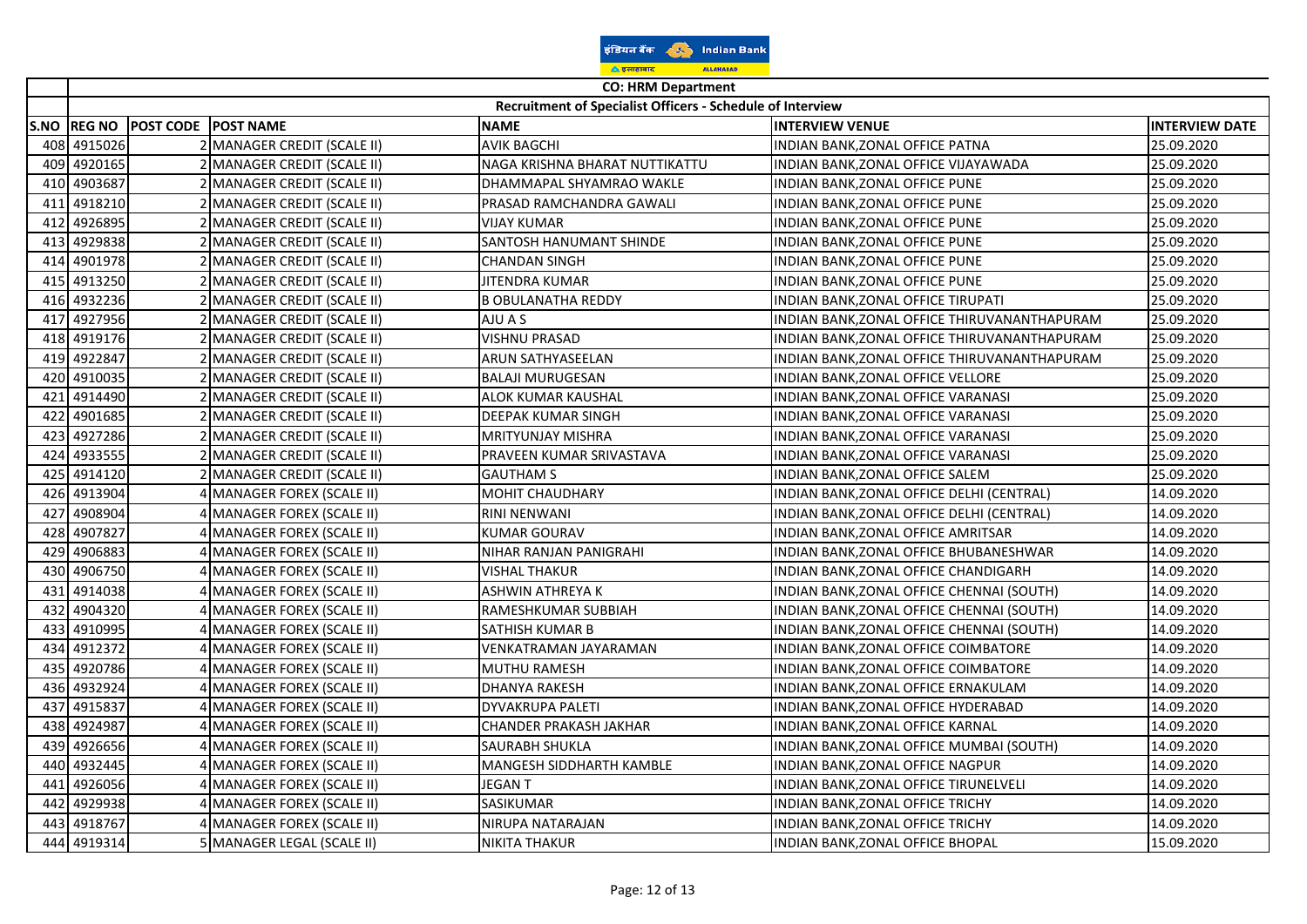|     |                                                            |  |                                  | <u> के इलाहाबाद</u><br><b>ALLAHABAD</b> |                                              |                       |  |  |
|-----|------------------------------------------------------------|--|----------------------------------|-----------------------------------------|----------------------------------------------|-----------------------|--|--|
|     |                                                            |  |                                  | <b>CO: HRM Department</b>               |                                              |                       |  |  |
|     | Recruitment of Specialist Officers - Schedule of Interview |  |                                  |                                         |                                              |                       |  |  |
|     | S.NO  REG NO                                               |  | <b>POST CODE POST NAME</b>       | <b>NAME</b>                             | <b>INTERVIEW VENUE</b>                       | <b>INTERVIEW DATE</b> |  |  |
|     | 408 4915026                                                |  | 2 MANAGER CREDIT (SCALE II)      | <b>AVIK BAGCHI</b>                      | INDIAN BANK, ZONAL OFFICE PATNA              | 25.09.2020            |  |  |
| 409 | 4920165                                                    |  | 2 MANAGER CREDIT (SCALE II)      | NAGA KRISHNA BHARAT NUTTIKATTU          | INDIAN BANK, ZONAL OFFICE VIJAYAWADA         | 25.09.2020            |  |  |
| 410 | 4903687                                                    |  | MANAGER CREDIT (SCALE II)        | DHAMMAPAL SHYAMRAO WAKLE                | INDIAN BANK, ZONAL OFFICE PUNE               | 25.09.2020            |  |  |
| 411 | 4918210                                                    |  | MANAGER CREDIT (SCALE II)        | PRASAD RAMCHANDRA GAWALI                | INDIAN BANK, ZONAL OFFICE PUNE               | 25.09.2020            |  |  |
|     | 412 4926895                                                |  | MANAGER CREDIT (SCALE II)        | <b>VIJAY KUMAR</b>                      | INDIAN BANK, ZONAL OFFICE PUNE               | 25.09.2020            |  |  |
| 413 | 4929838                                                    |  | 2 MANAGER CREDIT (SCALE II)      | <b>SANTOSH HANUMANT SHINDE</b>          | INDIAN BANK, ZONAL OFFICE PUNE               | 25.09.2020            |  |  |
| 414 | 4901978                                                    |  | 2 MANAGER CREDIT (SCALE II)      | <b>CHANDAN SINGH</b>                    | INDIAN BANK, ZONAL OFFICE PUNE               | 25.09.2020            |  |  |
| 415 | 4913250                                                    |  | 2 MANAGER CREDIT (SCALE II)      | JITENDRA KUMAR                          | INDIAN BANK, ZONAL OFFICE PUNE               | 25.09.2020            |  |  |
| 416 | 4932236                                                    |  | MANAGER CREDIT (SCALE II)        | <b>B OBULANATHA REDDY</b>               | INDIAN BANK, ZONAL OFFICE TIRUPATI           | 25.09.2020            |  |  |
| 417 | 4927956                                                    |  | MANAGER CREDIT (SCALE II)        | AJU A S                                 | INDIAN BANK, ZONAL OFFICE THIRUVANANTHAPURAM | 25.09.2020            |  |  |
| 418 | 4919176                                                    |  | 2 MANAGER CREDIT (SCALE II)      | <b>VISHNU PRASAD</b>                    | INDIAN BANK, ZONAL OFFICE THIRUVANANTHAPURAM | 25.09.2020            |  |  |
| 419 | 4922847                                                    |  | 2 MANAGER CREDIT (SCALE II)      | ARUN SATHYASEELAN                       | INDIAN BANK, ZONAL OFFICE THIRUVANANTHAPURAM | 25.09.2020            |  |  |
| 420 | 4910035                                                    |  | MANAGER CREDIT (SCALE II)        | <b>BALAJI MURUGESAN</b>                 | INDIAN BANK, ZONAL OFFICE VELLORE            | 25.09.2020            |  |  |
| 421 | 4914490                                                    |  | <b>MANAGER CREDIT (SCALE II)</b> | <b>ALOK KUMAR KAUSHAL</b>               | INDIAN BANK,ZONAL OFFICE VARANASI            | 25.09.2020            |  |  |
| 422 | 4901685                                                    |  | MANAGER CREDIT (SCALE II)        | DEEPAK KUMAR SINGH                      | INDIAN BANK,ZONAL OFFICE VARANASI            | 25.09.2020            |  |  |
| 423 | 4927286                                                    |  | 2 MANAGER CREDIT (SCALE II)      | <b>MRITYUNJAY MISHRA</b>                | INDIAN BANK, ZONAL OFFICE VARANASI           | 25.09.2020            |  |  |
| 424 | 4933555                                                    |  | 2 MANAGER CREDIT (SCALE II)      | PRAVEEN KUMAR SRIVASTAVA                | INDIAN BANK, ZONAL OFFICE VARANASI           | 25.09.2020            |  |  |
| 425 | 4914120                                                    |  | 2 MANAGER CREDIT (SCALE II)      | <b>GAUTHAM S</b>                        | INDIAN BANK, ZONAL OFFICE SALEM              | 25.09.2020            |  |  |
| 426 | 4913904                                                    |  | <b>MANAGER FOREX (SCALE II)</b>  | <b>MOHIT CHAUDHARY</b>                  | INDIAN BANK, ZONAL OFFICE DELHI (CENTRAL)    | 14.09.2020            |  |  |
| 427 | 4908904                                                    |  | MANAGER FOREX (SCALE II)         | <b>RINI NENWANI</b>                     | INDIAN BANK, ZONAL OFFICE DELHI (CENTRAL)    | 14.09.2020            |  |  |
| 428 | 4907827                                                    |  | MANAGER FOREX (SCALE II)         | KUMAR GOURAV                            | INDIAN BANK, ZONAL OFFICE AMRITSAR           | 14.09.2020            |  |  |
| 429 | 4906883                                                    |  | MANAGER FOREX (SCALE II)         | NIHAR RANJAN PANIGRAHI                  | INDIAN BANK, ZONAL OFFICE BHUBANESHWAR       | 14.09.2020            |  |  |
| 430 | 4906750                                                    |  | 4 MANAGER FOREX (SCALE II)       | <b>VISHAL THAKUR</b>                    | INDIAN BANK, ZONAL OFFICE CHANDIGARH         | 14.09.2020            |  |  |
| 431 | 4914038                                                    |  | MANAGER FOREX (SCALE II)         | <b>ASHWIN ATHREYA K</b>                 | INDIAN BANK, ZONAL OFFICE CHENNAI (SOUTH)    | 14.09.2020            |  |  |
| 432 | 4904320                                                    |  | <b>MANAGER FOREX (SCALE II)</b>  | <b>RAMESHKUMAR SUBBIAH</b>              | INDIAN BANK,ZONAL OFFICE CHENNAI (SOUTH)     | 14.09.2020            |  |  |
| 433 | 4910995                                                    |  | MANAGER FOREX (SCALE II)         | <b>SATHISH KUMAR B</b>                  | INDIAN BANK,ZONAL OFFICE CHENNAI (SOUTH)     | 14.09.2020            |  |  |
| 434 | 4912372                                                    |  | MANAGER FOREX (SCALE II)         | VENKATRAMAN JAYARAMAN                   | INDIAN BANK, ZONAL OFFICE COIMBATORE         | 14.09.2020            |  |  |
| 435 | 4920786                                                    |  | 4 MANAGER FOREX (SCALE II)       | <b>MUTHU RAMESH</b>                     | INDIAN BANK, ZONAL OFFICE COIMBATORE         | 14.09.2020            |  |  |
| 436 | 4932924                                                    |  | MANAGER FOREX (SCALE II)         | <b>DHANYA RAKESH</b>                    | INDIAN BANK, ZONAL OFFICE ERNAKULAM          | 14.09.2020            |  |  |
| 437 | 4915837                                                    |  | MANAGER FOREX (SCALE II)         | <b>DYVAKRUPA PALETI</b>                 | INDIAN BANK, ZONAL OFFICE HYDERABAD          | 14.09.2020            |  |  |
| 438 | 4924987                                                    |  | MANAGER FOREX (SCALE II)         | <b>CHANDER PRAKASH JAKHAR</b>           | INDIAN BANK,ZONAL OFFICE KARNAL              | 14.09.2020            |  |  |
| 439 | 4926656                                                    |  | 4 MANAGER FOREX (SCALE II)       | <b>SAURABH SHUKLA</b>                   | INDIAN BANK, ZONAL OFFICE MUMBAI (SOUTH)     | 14.09.2020            |  |  |
| 440 | 4932445                                                    |  | MANAGER FOREX (SCALE II)         | MANGESH SIDDHARTH KAMBLE                | INDIAN BANK, ZONAL OFFICE NAGPUR             | 14.09.2020            |  |  |
| 441 | 4926056                                                    |  | MANAGER FOREX (SCALE II)         | <b>JEGANT</b>                           | INDIAN BANK, ZONAL OFFICE TIRUNELVELI        | 14.09.2020            |  |  |
| 442 | 4929938                                                    |  | <b>MANAGER FOREX (SCALE II)</b>  | SASIKUMAR                               | INDIAN BANK,ZONAL OFFICE TRICHY              | 14.09.2020            |  |  |
| 443 | 4918767                                                    |  | MANAGER FOREX (SCALE II)         | <b>NIRUPA NATARAJAN</b>                 | INDIAN BANK, ZONAL OFFICE TRICHY             | 14.09.2020            |  |  |
|     | 444 4919314                                                |  | 5 MANAGER LEGAL (SCALE II)       | <b>NIKITA THAKUR</b>                    | INDIAN BANK, ZONAL OFFICE BHOPAL             | 15.09.2020            |  |  |

 $\rightarrow$ 

**Contract Contract Contract**